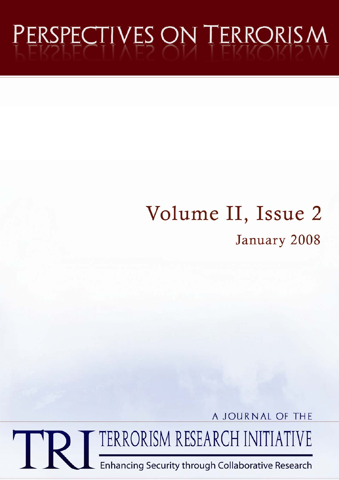# PERSPECTIVES ON TERRORISM

# Volume II, Issue 2 January 2008

A JOURNAL OF THE

TERRORISM RESEARCH INITIATIVE

Enhancing Security through Collaborative Research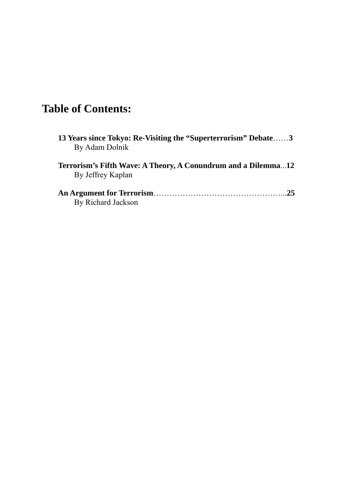# **Table of Contents:**

| 13 Years since Tokyo: Re-Visiting the "Superterrorism" Debate3<br>By Adam Dolnik   |  |
|------------------------------------------------------------------------------------|--|
| Terrorism's Fifth Wave: A Theory, A Conundrum and a Dilemma12<br>By Jeffrey Kaplan |  |
| By Richard Jackson                                                                 |  |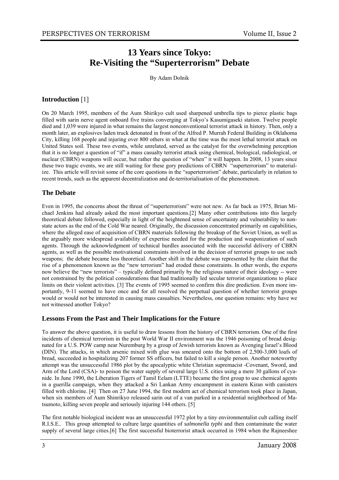## **13 Years since Tokyo: Re-Visiting the "Superterrorism" Debate**

By Adam Dolnik

#### **Introduction** [1]

On 20 March 1995, members of the Aum Shirikyo cult used sharpened umbrella tips to pierce plastic bags filled with sarin nerve agent onboard five trains converging at Tokyo's Kasumigaseki station. Twelve people died and 1,039 were injured in what remains the largest nonconventional terrorist attack in history. Then, only a month later, an explosives laden truck detonated in front of the Alfred P. Murrah Federal Building in Oklahoma City, killing 168 people and injuring over 800 others in what at the time was the most lethal terrorist attack on United States soil. These two events, while unrelated, served as the catalyst for the overwhelming perception that it is no longer a question of "if" a mass casualty terrorist attack using chemical, biological, radiological, or nuclear (CBRN) weapons will occur, but rather the question of "when" it will happen. In 2008, 13 years since these two tragic events, we are still waiting for these gory predictions of CBRN "superterrorism" to materialize. This article will revisit some of the core questions in the "superterrorism" debate, particularly in relation to recent trends, such as the apparent decentralization and de-territorialisation of the phenomenon.

#### **The Debate**

Even in 1995, the concerns about the threat of "superterrorism" were not new. As far back as 1975, Brian Michael Jenkins had already asked the most important questions.[2] Many other contributions into this largely theoretical debate followed, especially in light of the heightened sense of uncertainty and vulnerability to nonstate actors as the end of the Cold War neared. Originally, the discussion concentrated primarily on capabilities, where the alleged ease of acquisition of CBRN materials following the breakup of the Soviet Union, as well as the arguably more widespread availability of expertise needed for the production and weaponization of such agents. Through the acknowledgment of technical hurdles associated with the successful delivery of CBRN agents, as well as the possible motivational constraints involved in the decision of terrorist groups to use such weapons; the debate became less theoretical. Another shift in the debate was represented by the claim that the rise of a phenomenon known as the "new terrorism" had eroded these constraints. In other words, the experts now believe the "new terrorists" – typically defined primarily by the religious nature of their ideology -- were not constrained by the political considerations that had traditionally led secular terrorist organizations to place limits on their violent activities. [3] The events of 1995 seemed to confirm this dire prediction. Even more importantly, 9-11 seemed to have once and for all resolved the perpetual question of whether terrorist groups would or would not be interested in causing mass casualties. Nevertheless, one question remains: why have we not witnessed another Tokyo?

#### **Lessons From the Past and Their Implications for the Future**

To answer the above question, it is useful to draw lessons from the history of CBRN terrorism. One of the first incidents of chemical terrorism in the post World War II environment was the 1946 poisoning of bread designated for a U.S. POW camp near Nuremburg by a group of Jewish terrorists known as Avenging Israel's Blood (DIN). The attacks, in which arsenic mixed with glue was smeared onto the bottom of 2,500-3,000 loafs of bread, succeeded in hospitalizing 207 former SS officers, but failed to kill a single person. Another noteworthy attempt was the unsuccessful 1986 plot by the apocalyptic white Christian supremacist -Covenant, Sword, and Arm of the Lord (CSA)- to poison the water supply of several large U.S. cities using a mere 30 gallons of cyanide. In June 1990, the Liberation Tigers of Tamil Eelam (LTTE) became the first group to use chemical agents in a guerilla campaign, when they attacked a Sri Lankan Army encampment in eastern Kiran with canisters filled with chlorine. [4] Then on 27 June 1994, the first modern act of chemical terrorism took place in Japan, when six members of Aum Shinrikyo released sarin out of a van parked in a residential neighborhood of Matsumoto, killing seven people and seriously injuring 144 others. [5]

The first notable biological incident was an unsuccessful 1972 plot by a tiny environmentalist cult calling itself R.I.S.E.. This group attempted to culture large quantities of *salmonella typhi* and then contaminate the water supply of several large cities.<sup>[6]</sup> The first successful bioterrorist attack occurred in 1984 when the Rajneeshee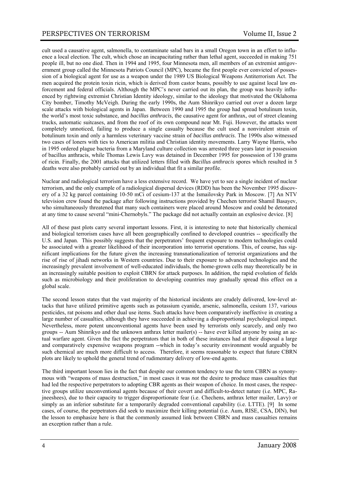cult used a causative agent, salmonella, to contaminate salad bars in a small Oregon town in an effort to influence a local election. The cult, which chose an incapacitating rather than lethal agent, succeeded in making 751 people ill, but no one died. Then in 1994 and 1995, four Minnesota men, all members of an extremist antigovernment group called the Minnesota Patriots Council (MPC), became the first people ever convicted of possession of a biological agent for use as a weapon under the 1989 US Biological Weapons Antiterrorism Act. The men acquired the protein toxin ricin, which is derived from castor beans, possibly to use against local law enforcement and federal officials. Although the MPC's never carried out its plan, the group was heavily influenced by rightwing extremist Christian Identity ideology, similar to the ideology that motivated the Oklahoma City bomber, Timothy McVeigh. During the early 1990s, the Aum Shinrikyo carried out over a dozen large scale attacks with biological agents in Japan. Between 1990 and 1995 the group had spread botulinum toxin, the world's most toxic substance, and *bacillus anthracis*, the causative agent for anthrax, out of street cleaning trucks, automatic suitcases, and from the roof of its own compound near Mt. Fuji. However, the attacks went completely unnoticed, failing to produce a single casualty because the cult used a nonvirulent strain of botulinum toxin and only a harmless veterinary vaccine strain of *bacillus anthracis*. The 1990s also witnessed two cases of loners with ties to American militia and Christian identity movements. Larry Wayne Harris, who in 1995 ordered plague bacteria from a Maryland culture collection was arrested three years later in possession of bacillus anthracis, while Thomas Lewis Lavy was detained in December 1995 for possession of 130 grams of ricin. Finally, the 2001 attacks that utilized letters filled with *Bacillus anthracis* spores which resulted in 5 deaths were also probably carried out by an individual that fit a similar profile.

Nuclear and radiological terrorism have a less extensive record. We have yet to see a single incident of nuclear terrorism, and the only example of a radiological dispersal devices (RDD) has been the November 1995 discovery of a 32 kg parcel containing 10-50 mCi of cesium-137 at the Ismailovsky Park in Moscow. [7] An NTV television crew found the package after following instructions provided by Chechen terrorist Shamil Basayev, who simultaneously threatened that many such containers were placed around Moscow and could be detonated at any time to cause several "mini-Chernobyls." The package did not actually contain an explosive device. [8]

All of these past plots carry several important lessons. First, it is interesting to note that historically chemical and biological terrorism cases have all been geographically confined to developed countries -- specifically the U.S. and Japan. This possibly suggests that the perpetrators' frequent exposure to modern technologies could be associated with a greater likelihood of their incorporation into terrorist operations. This, of course, has significant implications for the future given the increasing transnationalization of terrorist organizations and the rise of rise of jihadi networks in Western countries. Due to their exposure to advanced technologies and the increasingly prevalent involvement of well-educated individuals, the home-grown cells may theoretically be in an increasingly suitable position to exploit CBRN for attack purposes. In addition, the rapid evolution of fields such as microbiology and their proliferation to developing countries may gradually spread this effect on a global scale.

The second lesson states that the vast majority of the historical incidents are crudely delivered, low-level attacks that have utilized primitive agents such as potassium cyanide, arsenic, salmonella, cesium 137, various pesticides, rat poisons and other dual use items. Such attacks have been comparatively ineffective in creating a large number of casualties, although they have succeeded in achieving a disproportional psychological impact. Nevertheless, more potent unconventional agents have been used by terrorists only scarcely, and only two groups -- Aum Shinrikyo and the unknown anthrax letter mailer(s) -- have ever killed anyone by using an actual warfare agent. Given the fact the perpetrators that in both of these instances had at their disposal a large and comparatively expensive weapons program --which in today's security environment would arguably be such chemical are much more difficult to access. Therefore, it seems reasonable to expect that future CBRN plots are likely to uphold the general trend of rudimentary delivery of low-end agents.

The third important lesson lies in the fact that despite our common tendency to use the term CBRN as synonymous with "weapons of mass destruction," in most cases it was *not* the desire to produce mass casualties that had led the respective perpetrators to adopting CBR agents as their weapon of choice. In most cases, the respective groups utilize unconventional agents because of their covert and difficult-to-detect nature (i.e. MPC, Rajneeshees), due to their capacity to trigger disproportionate fear (i.e. Chechens, anthrax letter mailer, Lavy) or simply as an inferior substitute for a temporarily degraded conventional capability (i.e. LTTE). [9] In some cases, of course, the perpetrators did seek to maximize their killing potential (i.e. Aum, RISE, CSA, DIN), but the lesson to emphasize here is that the commonly assumed link between CBRN and mass casualties remains an exception rather than a rule.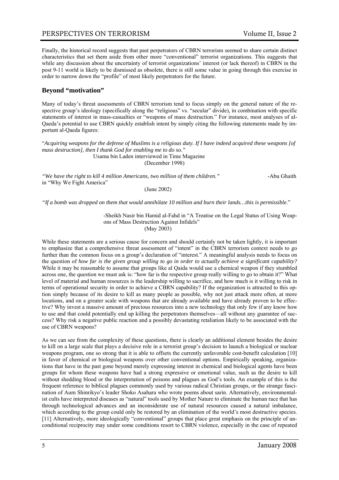Finally, the historical record suggests that past perpetrators of CBRN terrorism seemed to share certain distinct characteristics that set them aside from other more "conventional" terrorist organizations. This suggests that while any discussion about the uncertainty of terrorist organizations' interest (or lack thereof) in CBRN in the post 9-11 world is likely to be dismissed as obsolete, there is still some value in going through this exercise in order to narrow down the "profile" of most likely perpetrators for the future.

#### **Beyond "motivation"**

Many of today's threat assessments of CBRN terrorism tend to focus simply on the general nature of the respective group's ideology (specifically along the "religious" vs. "secular" divide), in combination with specific statements of interest in mass-casualties or "weapons of mass destruction." For instance, most analyses of al-Qaeda's potential to use CBRN quickly establish intent by simply citing the following statements made by important al-Qaeda figures:

"*Acquiring weapons for the defense of Muslims is a religious duty. If I have indeed acquired these weapons [of mass destruction], then I thank God for enabling me to do so."*

Usama bin Laden interviewed in Time Magazine (December 1998)

*"We have the right to kill 4 million Americans, two million of them children."* - -Abu Ghaith in "Why We Fight America"

(June 2002)

*"If a bomb was dropped on them that would annihilate 10 million and burn their lands…this is permissible.*"

-Sheikh Nasir bin Hamid al-Fahd in "A Treatise on the Legal Status of Using Weapons of Mass Destruction Against Infidels" (May 2003)

While these statements are a serious cause for concern and should certainly not be taken lightly, it is important to emphasize that a comprehensive threat assessment of "intent" in the CBRN terrorism context needs to go further than the common focus on a group's declaration of "interest." A meaningful analysis needs to focus on the question of *how far is the given group willing to go in order to actually achieve a significant capability?* While it may be reasonable to assume that groups like al Qaida would use a chemical weapon if they stumbled across one, the question we must ask is: "how far is the respective group really willing to go to obtain it?" What level of material and human resources is the leadership willing to sacrifice, and how much is it willing to risk in terms of operational security in order to achieve a CBRN capability? If the organization is attracted to this option simply because of its desire to kill as many people as possible, why not just attack more often, at more locations, and on a greater scale with weapons that are already available and have already proven to be effective? Why invest a massive amount of precious resources into a new technology that only few if any know how to use and that could potentially end up killing the perpetrators themselves—all without any guarantee of success? Why risk a negative public reaction and a possibly devastating retaliation likely to be associated with the use of CBRN weapons?

As we can see from the complexity of these questions, there is clearly an additional element besides the desire to kill on a large scale that plays a decisive role in a terrorist group's decision to launch a biological or nuclear weapons program, one so strong that it is able to offsets the currently unfavorable cost-benefit calculation [10] in favor of chemical or biological weapons over other conventional options. Empirically speaking, organizations that have in the past gone beyond merely expressing interest in chemical and biological agents have been groups for whom these weapons have had a strong expressive or emotional value, such as the desire to kill without shedding blood or the interpretation of poisons and plagues as God's tools. An example of this is the frequent reference to biblical plagues commonly used by various radical Christian groups, or the strange fascination of Aum Shinrikyo's leader Shoko Asahara who wrote poems about sarin. Alternatively, environmentalist cults have interpreted diseases as "natural" tools used by Mother Nature to eliminate the human race that has through technological advances and an inconsiderate use of natural resources caused a natural imbalance, which according to the group could only be restored by an elimination of the world's most destructive species. [11] Alternatively, more ideologically "conventional" groups that place great emphasis on the principle of unconditional reciprocity may under some conditions resort to CBRN violence, especially in the case of repeated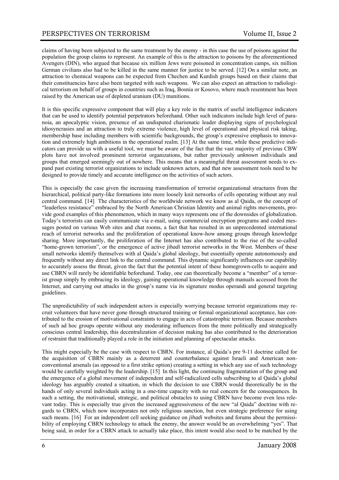claims of having been subjected to the same treatment by the enemy - in this case the use of poisons against the population the group claims to represent. An example of this is the attraction to poisons by the aforementioned Avengers (DIN), who argued that because six million Jews were poisoned in concentration camps, six million German civilians also had to be killed in the same manner for justice to be served. [12] On a similar note, an attraction to chemical weapons can be expected from Chechen and Kurdish groups based on their claims that their constituencies have also been targeted with such weapons. We can also expect an attraction to radiological terrorism on behalf of groups in countries such as Iraq, Bosnia or Kosovo, where much resentment has been raised by the American use of depleted uranium (DU) munitions.

It is this specific expressive component that will play a key role in the matrix of useful intelligence indicators that can be used to identify potential perpetrators beforehand. Other such indicators include high level of paranoia, an apocalyptic vision, presence of an undisputed charismatic leader displaying signs of psychological idiosyncrasies and an attraction to truly extreme violence, high level of operational and physical risk taking, membership base including members with scientific backgrounds, the group's expressive emphasis to innovation and extremely high ambitions in the operational realm. [13] At the same time, while these predictive indicators can provide us with a useful tool, we must be aware of the fact that the vast majority of previous CBW plots have not involved prominent terrorist organizations, but rather previously *unknown* individuals and groups that emerged seemingly out of nowhere. This means that a meaningful threat assessment needs to expand past existing terrorist organizations to include unknown actors, and that new assessment tools need to be designed to provide timely and accurate intelligence on the activities of such actors.

This is especially the case given the increasing transformation of terrorist organizational structures from the hierarchical, political party-like formations into more loosely knit networks of cells operating without any real central command. [14] The characteristics of the worldwide network we know as al Qaida, or the concept of "leaderless resistance" embraced by the North American Christian Identity and animal rights movements, provide good examples of this phenomenon, which in many ways represents one of the downsides of globalization. Today's terrorists can easily communicate via e-mail, using commercial encryption programs and coded messages posted on various Web sites and chat rooms, a fact that has resulted in an unprecedented international reach of terrorist networks and the proliferation of operational know-how among groups through knowledge sharing. More importantly, the proliferation of the Internet has also contributed to the rise of the so-called "home-grown terrorism", or the emergence of active *jihadi* terrorist networks in the West. Members of these small networks identify themselves with al Qaida's global ideology, but essentially operate autonomously and frequently without any direct link to the central command. This dynamic significantly influences our capability to accurately assess the threat, given the fact that the potential intent of these homegrown-cells to acquire and use CBRN will rarely be identifiable beforehand. Today, one can theoretically become a "member" of a terrorist group simply by embracing its ideology, gaining operational knowledge through manuals accessed from the Internet, and carrying out attacks in the group's name via its signature modus operandi and general targeting guidelines.

The unpredictability of such independent actors is especially worrying because terrorist organizations may recruit volunteers that have never gone through structured training or formal organizational acceptance, has contributed to the erosion of motivational constraints to engage in acts of catastrophic terrorism. Because members of such ad hoc groups operate without any moderating influences from the more politically and strategically conscious central leadership, this decentralization of decision making has also contributed to the deterioration of restraint that traditionally played a role in the initiation and planning of spectacular attacks.

This might especially be the case with respect to CBRN. For instance, al Qaida's pre 9-11 doctrine called for the acquisition of CBRN mainly as a deterrent and counterbalance against Israeli and American nonconventional arsenals (as opposed to a first strike option) creating a setting in which any use of such technology would be carefully weighted by the leadership. [15] In this light, the continuing fragmentation of the group and the emergence of a global movement of independent and self-radicalized cells subscribing to al Qaida's global ideology has arguably created a situation, in which the decision to use CBRN would theoretically be in the hands of only several individuals acting in a one-time capacity with no real concern for the consequences. In such a setting, the motivational, strategic, and political obstacles to using CBRN have become even less relevant today. This is especially true given the increased aggressiveness of the new "al Qaida" doctrine with regards to CBRN, which now incorporates not only religious sanction, but even strategic preference for using such means. [16] For an independent cell seeking guidance on *jihadi* websites and forums about the permissibility of employing CBRN technology to attack the enemy, the answer would be an overwhelming "yes". That being said, in order for a CBRN attack to actually take place, this intent would also need to be matched by the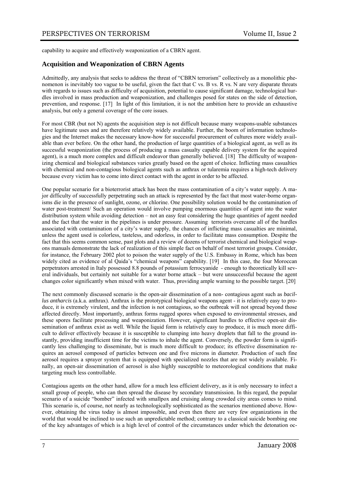capability to acquire and effectively weaponization of a CBRN agent.

#### **Acquisition and Weaponization of CBRN Agents**

Admittedly, any analysis that seeks to address the threat of "CBRN terrorism" collectively as a monolithic phenomenon is inevitably too vague to be useful, given the fact that C vs. B vs. R vs. N are very disparate threats with regards to issues such as difficulty of acquisition, potential to cause significant damage, technological hurdles involved in mass production and weaponization, and challenges posed for states on the side of detection, prevention, and response. [17] In light of this limitation, it is not the ambition here to provide an exhaustive analysis, but only a general coverage of the core issues.

For most CBR (but not N) agents the acquisition step is not difficult because many weapons-usable substances have legitimate uses and are therefore relatively widely available. Further, the boom of information technologies and the Internet makes the necessary know-how for successful procurement of cultures more widely available than ever before. On the other hand, the production of large quantities of a biological agent, as well as its successful weaponization (the process of producing a mass casualty capable delivery system for the acquired agent), is a much more complex and difficult endeavor than generally believed. [18] The difficulty of weaponizing chemical and biological substances varies greatly based on the agent of choice. Inflicting mass casualties with chemical and non-contagious biological agents such as anthrax or tularemia requires a high-tech delivery because every victim has to come into direct contact with the agent in order to be affected.

One popular scenario for a bioterrorist attack has been the mass contamination of a city's water supply. A major difficulty of successfully perpetrating such an attack is represented by the fact that most water-borne organisms die in the presence of sunlight, ozone, or chlorine. One possibility solution would be the contamination of water post-treatment/ Such an operation would involve pumping enormous quantities of agent into the water distribution system while avoiding detection – not an easy feat considering the huge quantities of agent needed and the fact that the water in the pipelines is under pressure. Assuming terrorists overcame all of the hurdles associated with contamination of a city's water supply, the chances of inflicting mass casualties are minimal, unless the agent used is colorless, tasteless, and odorless, in order to facilitate mass consumption. Despite the fact that this seems common sense, past plots and a review of dozens of terrorist chemical and biological weapons manuals demonstrate the lack of realization of this simple fact on behalf of most terrorist groups. Consider, for instance, the February 2002 plot to poison the water supply of the U.S. Embassy in Rome, which has been widely cited as evidence of al Qaida's "chemical weapons" capability. [19] In this case, the four Moroccan perpetrators arrested in Italy possessed 8.8 pounds of potassium ferrocyanide - enough to theoretically kill several individuals, but certainly not suitable for a water borne attack – but were unsuccessful because the agent changes color significantly when mixed with water. Thus, providing ample warning to the possible target. [20]

The next commonly discussed scenario is the open-air dissemination of a non- contagious agent such as *bacillus antharcis* (a.k.a. anthrax). Anthrax is the prototypical biological weapons agent - it is relatively easy to produce, it is extremely virulent, and the infection is not contagious, so the outbreak will not spread beyond those affected directly. Most importantly, anthrax forms rugged spores when exposed to environmental stresses, and these spores facilitate processing and weaponization. However, significant hurdles to effective open-air dissemination of anthrax exist as well. While the liquid form is relatively easy to produce, it is much more difficult to deliver effectively because it is susceptible to clumping into heavy droplets that fall to the ground instantly, providing insufficient time for the victims to inhale the agent. Conversely, the powder form is significantly less challenging to disseminate, but is much more difficult to produce; its effective dissemination requires an aerosol composed of particles between one and five microns in diameter. Production of such fine aerosol requires a sprayer system that is equipped with specialized nozzles that are not widely available. Finally, an open-air dissemination of aerosol is also highly susceptible to meteorological conditions that make targeting much less controllable.

Contagious agents on the other hand, allow for a much less efficient delivery, as it is only necessary to infect a small group of people, who can then spread the disease by secondary transmission. In this regard, the popular scenario of a suicide "bomber" infected with smallpox and cruising along crowded city areas comes to mind. This scenario is, of course, not nearly as technologically sophisticated as the scenarios mentioned above. However, obtaining the virus today is almost impossible, and even then there are very few organizations in the world that would be inclined to use such an unpredictable method; contrary to a classical suicide bombing one of the key advantages of which is a high level of control of the circumstances under which the detonation oc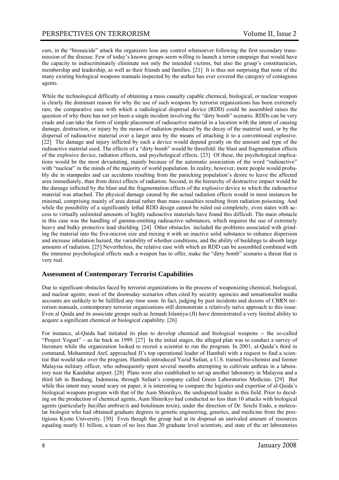curs, in the "biosuicide" attack the organizers lose any control whatsoever following the first secondary transmission of the disease. Few of today's known groups seem willing to launch a terror campaign that would have the capacity to indiscriminately eliminate not only the intended victims, but also the group's constituencies, membership and leadership, as well as their friends and families. [21] It is thus not surprising that none of the many existing biological weapons manuals inspected by the author has ever covered the category of contagious agents.

While the technological difficulty of obtaining a mass casualty capable chemical, biological, or nuclear weapon is clearly the dominant reason for why the use of such weapons by terrorist organizations has been extremely rare, the comparative ease with which a radiological dispersal device (RDD) could be assembled raises the question of why there has not yet been a single incident involving the "dirty bomb" scenario. RDDs can be very crude and can take the form of simple placement of radioactive material in a location with the intent of causing damage, destruction, or injury by the means of radiation produced by the decay of the material used, or by the dispersal of radioactive material over a larger area by the means of attaching it to a conventional explosive. [22] The damage and injury inflicted by such a device would depend greatly on the amount and type of the radioactive material used. The effects of a "dirty bomb" would be threefold: the blast and fragmentation effects of the explosive device, radiation effects, and psychological effects. [23] Of these, the psychological implications would be the most devastating, mainly because of the automatic association of the word "radioactive" with "nuclear" in the minds of the majority of world population. In reality, however, more people would probably die in stampedes and car accidents resulting from the panicking population's desire to leave the affected area immediately, than from direct effects of radiation. Second, in the hierarchy of destructive impact would be the damage inflicted by the blast and the fragmentation effects of the explosive device to which the radioactive material was attached. The physical damage caused by the actual radiation effects would in most instances be minimal, comprising mainly of area denial rather than mass casualties resulting from radiation poisoning. And while the possibility of a significantly lethal RDD design cannot be ruled out completely, even states with access to virtually unlimited amounts of highly radioactive materials have found this difficult. The main obstacle in this case was the handling of gamma-emitting radioactive substances, which requires the use of extremely heavy and bulky protective lead shielding. [24] Other obstacles included the problems associated with grinding the material into the five-micron size and mixing it with an inactive solid substance to enhance dispersion and increase inhalation hazard, the variability of whether conditions, and the ability of buildings to absorb large amounts of radiation. [25] Nevertheless, the relative ease with which an RDD can be assembled combined with the immense psychological effects such a weapon has to offer, make the "dirty bomb" scenario a threat that is very real.

#### **Assessment of Contemporary Terrorist Capabilities**

Due to significant obstacles faced by terrorist organizations in the process of weaponizing chemical, biological, and nuclear agents; most of the doomsday scenarios often cited by security agencies and sensationalist media accounts are unlikely to be fulfilled any time soon. In fact, judging by past incidents and dozens of CBRN terrorism manuals, contemporary terrorist organizations still demonstrate a relatively naïve approach to this issue. Even al Qaida and its associate groups such as Jemaah Islamiya (JI) have demonstrated a very limited ability to acquire a significant chemical or biological capability. [26]

For instance, al-Qaida had initiated its plan to develop chemical and biological weapons -- the so-called "Project Yogurt" – as far back as 1999. [27] In the initial stages, the alleged plan was to conduct a survey of literature while the organization looked to recruit a scientist to run the program. In 2001, al-Qaida's third in command, Mohammed Atef, approached JI's top operational leader of Hambali with a request to find a scientist that would take over the program. Hambali introduced Yazid Sufaat, a U.S. trained bio-chemist and former Malaysia military officer, who subsequently spent several months attempting to cultivate anthrax in a laboratory near the Kandahar airport. [28] Plans were also established to set up another laboratory in Malaysia and a third lab in Bandung, Indonesia, through Sufaat's company called Green Laboratories Medicine. [29] But while this intent may sound scary on paper, it is interesting to compare the logistics and expertise of al-Qaida's biological weapons program with that of the Aum Shinrikyo, the undisputed leader in this field. Prior to deciding on the production of chemical agents, Aum Shinrikyo had conducted no less than 10 attacks with biological agents (particularly *bacillus anthracis* and botulinum toxin), under the direction of Dr. Seichi Endo, a molecular biologist who had obtained graduate degrees in genetic engineering, genetics, and medicine from the prestigious Kyoto University. [30] Even though the group had at its disposal an unrivaled amount of resources equaling nearly \$1 billion, a team of no less than 20 graduate level scientists, and state of the art laboratories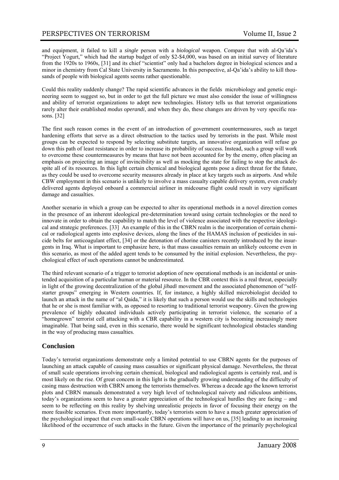and equipment, it failed to kill a *single* person with a *biological* weapon. Compare that with al-Qa'ida's "Project Yogurt," which had the startup budget of only \$2-\$4,000, was based on an initial survey of literature from the 1920s to 1960s, [31] and its chief "scientist" only had a bachelors degree in biological sciences and a minor in chemistry from Cal State University in Sacramento. In this perspective, al-Qa'ida's ability to kill thousands of people with biological agents seems rather questionable.

Could this reality suddenly change? The rapid scientific advances in the fields microbiology and genetic engineering seem to suggest so, but in order to get the full picture we must also consider the issue of willingness and ability of terrorist organizations to adopt new technologies. History tells us that terrorist organizations rarely alter their established *modus operandi*, and when they do, these changes are driven by very specific reasons. [32]

The first such reason comes in the event of an introduction of government countermeasures, such as target hardening efforts that serve as a direct obstruction to the tactics used by terrorists in the past. While most groups can be expected to respond by selecting substitute targets, an innovative organization will refuse go down this path of least resistance in order to increase its probability of success. Instead, such a group will work to overcome these countermeasures by means that have not been accounted for by the enemy, often placing an emphasis on projecting an image of invincibility as well as mocking the state for failing to stop the attack despite all of its resources. In this light certain chemical and biological agents pose a direct threat for the future, as they could be used to overcome security measures already in place at key targets such as airports. And while CBW employment in this scenario is unlikely to involve a mass casualty capable delivery system, even crudely delivered agents deployed onboard a commercial airliner in midcourse flight could result in very significant damage and casualties.

Another scenario in which a group can be expected to alter its operational methods in a novel direction comes in the presence of an inherent ideological pre-determination toward using certain technologies or the need to innovate in order to obtain the capability to match the level of violence associated with the respective ideological and strategic preferences. [33] An example of this in the CBRN realm is the incorporation of certain chemical or radiological agents into explosive devices, along the lines of the HAMAS inclusion of pesticides in suicide belts for anticoagulant effect, [34] or the detonation of chorine canisters recently introduced by the insurgents in Iraq. What is important to emphasize here, is that mass casualties remain an unlikely outcome even in this scenario, as most of the added agent tends to be consumed by the initial explosion. Nevertheless, the psychological effect of such operations cannot be underestimated.

The third relevant scenario of a trigger to terrorist adoption of new operational methods is an incidental or unintended acquisition of a particular human or material resource. In the CBR context this is a real threat, especially in light of the growing decentralization of the global *jihadi* movement and the associated phenomenon of "selfstarter groups" emerging in Western countries. If, for instance, a highly skilled microbiologist decided to launch an attack in the name of "al Qaida," it is likely that such a person would use the skills and technologies that he or she is most familiar with, as opposed to resorting to traditional terrorist weaponry. Given the growing prevalence of highly educated individuals actively participating in terrorist violence, the scenario of a "homegrown" terrorist cell attacking with a CBR capability in a western city is becoming increasingly more imaginable. That being said, even in this scenario, there would be significant technological obstacles standing in the way of producing mass casualties.

#### **Conclusion**

Today's terrorist organizations demonstrate only a limited potential to use CBRN agents for the purposes of launching an attack capable of causing mass casualties or significant physical damage. Nevertheless, the threat of small scale operations involving certain chemical, biological and radiological agents is certainly real, and is most likely on the rise. Of great concern in this light is the gradually growing understanding of the difficulty of casing mass destruction with CBRN among the terrorists themselves. Whereas a decade ago the known terrorist plots and CBRN manuals demonstrated a very high level of technological naivety and ridiculous ambitions, today's organizations seem to have a greater appreciation of the technological hurdles they are facing – and seem to be reflecting on this reality by shelving unrealistic projects in favor of focusing their energy on the more feasible scenarios. Even more importantly, today's terrorists seem to have a much greater appreciation of the psychological impact that even small-scale CBRN operations will have on us, [35] leading to an increasing likelihood of the occurrence of such attacks in the future. Given the importance of the primarily psychological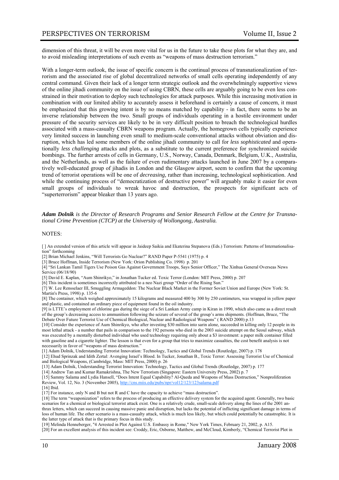dimension of this threat, it will be even more vital for us in the future to take these plots for what they are, and to avoid misleading interpretations of such events as "weapons of mass destruction terrorism."

With a longer-term outlook, the issue of specific concern is the continual process of transnationalization of terrorism and the associated rise of global decentralized networks of small cells operating independently of any central command. Given their lack of a longer term strategic outlook and the overwhelmingly supportive views of the online jihadi community on the issue of using CBRN, these cells are arguably going to be even less constrained in their motivation to deploy such technologies for attack purposes. While this increasing motivation in combination with our limited ability to accurately assess it beforehand is certainly a cause of concern, it must be emphasized that this growing intent is by no means matched by capability - in fact, there seems to be an inverse relationship between the two. Small groups of individuals operating in a hostile environment under pressure of the security services are likely to be in very difficult position to breach the technological hurdles associated with a mass-casualty CBRN weapons program. Actually, the homegrown cells typically experience very limited success in launching even small to medium-scale conventional attacks without obviation and disruption, which has led some members of the online jihadi community to call for *less sophisticated* and operationally *less challenging* attacks and plots, as a substitute to the current preference for synchronized suicide bombings. The further arrests of cells in Germany, U.S., Norway, Canada, Denmark, Belgium, U.K., Australia, and the Netherlands, as well as the failure of even rudimentary attacks launched in June 2007 by a comparatively well-educated group of jihadis in London and the Glasgow airport, seem to confirm that the upcoming trend of terrorist operations will be one of *decreasing,* rather than increasing, technological sophistication. And while the continuing process of "democratization of destructive power" will arguably make it easier for even small groups of individuals to wreak havoc and destruction, the prospects for significant acts of "superterrorism" appear bleaker than 13 years ago.

*Adam Dolnik is the Director of Research Programs and Senior Research Fellow at the Centre for Transnational Crime Prevention (CTCP) at the University of Wollongong, Australia.* 

#### NOTES:

[ ] An extended version of this article will appear in Jaideep Saikia and Ekaterina Stepanova (Eds.) Terrorism: Patterns of Internationalisation" forthcoming

[2] Brian Michael Jenkins, "Will Terrorists Go Nuclear?" RAND Paper P-5541 (1975) p. 4

[3] Bruce Hoffman, Inside Terrorism (New York: Orion Publishing Co. 1998) p. 201

[4] "Sri Lankan Tamil Tigers Use Poison Gas Against Government Troops, Says Senior Officer," The Xinhua General Overseas News Service (06/18/90)

[5] David E. Kaplan, "Aum Shinrikyo," in Jonathan Tucker ed. Toxic Terror (London: MIT Press, 2000) p. 207

[6] This incident is sometimes incorrectly attributed to a neo Nazi group "Order of the Rising Sun."

[7] W. Lee Rensselaer III, Smuggling Armageddon: The Nuclear Black Market in the Former Soviet Union and Europe (New York: St. Martin's Press, 1998) p. 135-6

[8] The container, which weighed approximately 15 kilograms and measured 400 by 300 by 250 centimeters, was wrapped in yellow paper and plastic, and contained an ordinary piece of equipment found in the oil industry.

[9] is LTTE's employment of chlorine gas during the siege of a Sri Lankan Army camp in Kiran in 1990, which also came as a direct result of the group's decreasing access to ammunition following the seizure of several of the group's arms shipments. (Hoffman, Bruce, "The Debate Over Future Terrorist Use of Chemical Biological, Nuclear and Radiological Weapons" ( RAND 2000) p.13

[10] Consider the experience of Aum Shinrikyo, who after investing \$30 million into sarin alone, succeeded in killing only 12 people in its most lethal attack - a number that pails in comparison to the 192 persons who died in the 2003 suicide attempt on the Seoul subway, which was executed by a mentally disturbed individual who used technology requiring only about a \$3 investment: a paper milk container filled with gasoline and a cigarette lighter. The lesson is that even for a group that tries to maximize casualties, the cost benefit analysis is not necessarily in favor of "weapons of mass destruction."

[1] Adam Dolnik, Understanding Terrorist Innovation: Technology, Tactics and Global Trends (Routledge, 2007) p. 178

[12] Ehud Sprinzak and Idith Zertal: Avenging Israel's Blood. In Tucker, Jonathan B., Toxic Terror: Assessing Terrorist Use of Chemical and Biological Weapons, (Cambridge, Mass: MIT Press, 2000) p. 26

[13] Adam Dolnik, Understanding Terrorist Innovation: Technology, Tactics and Global Trends (Routledge, 2007) p. 177

[14] Andrew Tan and Kumar Ramakrishna, The New Terrorism (Singapore: Eastern University Press, 2002) p. 7

[15] Sammy Salama and Lydia Hansell, "Does Intent Equal Capability? Al-Qaeda and Weapons of Mass Destruction," Nonproliferation Review, Vol. 12, No. 3 (November 2005), http://cns.miis.edu/pubs/npr/vol12/123/123salama.pdf

[16] Ibid.

[17] For instance, only N and B but not R and C have the capacity to achieve "mass destruction".

[18] The term "weaponization" refers to the process of producing an effective delivery system for the acquired agent. Generally, two basic scenarios for a chemical or biological terrorist attack exist. One is a relatively crude, small-scale delivery along the lines of the 2001 anthrax letters, which can succeed in causing massive panic and disruption, but lacks the potential of inflicting significant damage in terms of loss of human life. The other scenario is a mass-casualty attack, which is much less likely, but which could potentially be catastrophic. It is the latter type of attack that is the primary focus in this study.

[19] Melinda Henneberger, "4 Arrested in Plot Against U.S. Embassy in Rome," New York Times, February 21, 2002, p. A15.

[20] For an excellent analysis of this incident see: Croddy, Eric, Osborne, Matthew, and McCloud, Kimberly, "Chemical Terrorist Plot in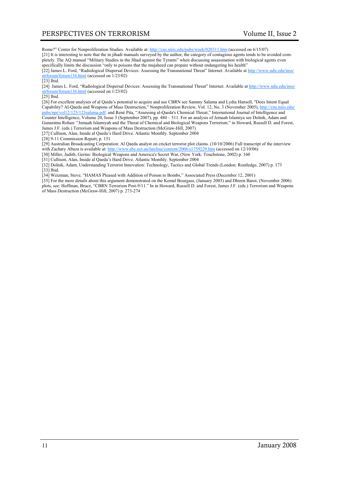Rome?" Center for Nonproliferation Studies. Available at: http://cns.miis.edu/pubs/week/020311.htm (accessed on 6/15/07) [21] It is interesting to note that the in jihadi manuals surveyed by the author, the category of contagious agents tends to be avoided completely. The AQ manual "Military Studies in the Jihad against the Tyrants" when discussing assassination with biological agents even specifically limits the discussion "only to poisons that the mujaheed can prepare without endangering his health"

[22] James L. Ford, "Radiological Dispersal Devices: Assessing the Transnational Threat" Internet. Available at http://www.ndu.edu/inss/ strforum/forum136.html (accessed on 1/23/02) [23] Ibid.

[24] James L. Ford, "Radiological Dispersal Devices: Assessing the Transnational Threat" Internet. Available at http://www.ndu.edu/inss/ strforum/forum136.html (accessed on  $1/23/02$ )

[25] Ibid.

[26] For excellent analyses of al Qaida's potential to acquire and use CBRN see Sammy Salama and Lydia Hansell, "Does Intent Equal Capability? Al-Qaeda and Weapons of Mass Destruction," Nonproliferation Review, Vol. 12, No. 3 (November 2005), http://cns.miis.edu/ pubs/npr/vol12/123/123salama.pdf. and René Pita, "Assessing al-Qaeda's Chemical Threat," International Journal of Intelligence and Counter Intelligence, Volume 20, Issue 3 (September 2007), pp. 480 – 511. For an analysis of Jemaah Islamiya see Dolnik, Adam and Gunaratna Rohan: "Jemaah Islamiyah and the Threat of Chemical and Biological Weapons Terrorism." in Howard, Russell D. and Forest, James J.F. (eds.) Terrorism and Weapons of Mass Destruction (McGraw-Hill, 2007)

[27] Cullison, Alan, Inside al Qaeda's Hard Drive. Atlantic Monthly. September 2004

[28] 9-11 Commission Report, p. 151

[29] Australian Broadcasting Corporation: Al Qaeda analyst on cricket terrorist plot claims. (10/10/2006) Full transcript of the interview with Zachary Abuza is available at: http://www.abc.net.au/lateline/content/2006/s1759229.htm (accessed on 12/10/06)

[30] Miller, Judith, Germs: Biological Weapons and America's Secret War, (New York: Touchstone, 2002) p. 160

[31] Cullison, Alan, Inside al Qaeda's Hard Drive. Atlantic Monthly. September 2004

[32] Dolnik, Adam, Understanding Terrorist Innovation: Technology, Tactics and Global Trends (London: Routledge, 2007) p. 173 [33] Ibid.

[34] Weizman, Steve, "HAMAS Pleased with Addition of Poison to Bombs," Associated Press (December 12, 2001)

[35] For the more details about this argument demonstrated on the Kemal Bourgass, (January 2003) and Dhiren Barot, (November 2006) plots, see: Hoffman, Bruce, "CBRN Terrorism Post-9/11." In in Howard, Russell D. and Forest, James J.F. (eds.) Terrorism and Weapons of Mass Destruction (McGraw-Hill, 2007) p. 273-274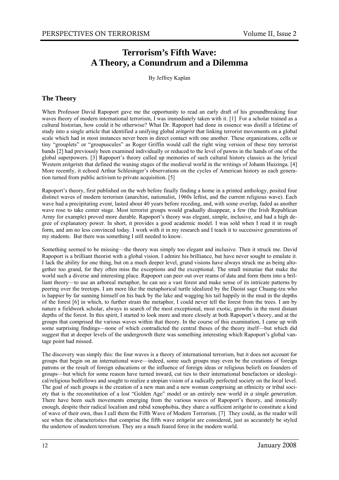## **Terrorism's Fifth Wave: A Theory, a Conundrum and a Dilemma**

By Jeffrey Kaplan

#### **The Theory**

When Professor David Rapoport gave me the opportunity to read an early draft of his groundbreaking four waves theory of modern international terrorism, I was immediately taken with it. [1] For a scholar trained as a cultural historian, how could it be otherwise? What Dr. Rapoport had done in essence was distill a lifetime of study into a single article that identified a unifying global *zeitgeist* that linking terrorist movements on a global scale which had in most instances never been in direct contact with one another. These organizations, cells or tiny "grouplets" or "groupuscules" as Roger Griffin would call the right wing version of these tiny terrorist bands [2] had previously been examined individually or reduced to the level of pawns in the hands of one of the global superpowers. [3] Rapoport's theory called up memories of such cultural history classics as the lyrical Western *zeitgeists* that defined the waning stages of the medieval world in the writings of Johann Huizinga. [4] More recently, it echoed Arthur Schlesinger's observations on the cycles of American history as each generation turned from public activism to private acquisition. [5]

Rapoport's theory, first published on the web before finally finding a home in a printed anthology, posited four distinct waves of modern terrorism (anarchist, nationalist, 1960s leftist, and the current religious wave). Each wave had a precipitating event, lasted about 40 years before receding, and, with some overlap, faded as another wave rose to take center stage. Most terrorist groups would gradually disappear, a few (the Irish Republican Army for example) proved more durable. Rapoport's theory was elegant, simple, inclusive, and had a high degree of explanatory power. In short, it provides a good academic model. I was sold when I read it in rough form, and am no less convinced today. I work with it in my research and I teach it to successive generations of my students. But there was something I still needed to know.

Something seemed to be missing—the theory was simply too elegant and inclusive. Then it struck me. David Rapoport is a brilliant theorist with a global vision. I admire his brilliance, but have never sought to emulate it. I lack the ability for one thing, but on a much deeper level, grand visions have always struck me as being altogether too grand, for they often miss the exceptions and the exceptional. The small minutiae that make the world such a diverse and interesting place. Rapoport can peer out over reams of data and form them into a brilliant theory—to use an arboreal metaphor, he can see a vast forest and make sense of its intricate patterns by peering over the treetops. I am more like the metaphorical turtle idealized by the Daoist sage Chuang-tzu who is happier by far sunning himself on his back by the lake and wagging his tail happily in the mud in the depths of the forest [6] in which, to further strain the metaphor, I could never tell the forest from the trees. I am by nature a fieldwork scholar, always in search of the most exceptional, most exotic, growths in the most distant depths of the forest. In this spirit, I started to look more and more closely at both Rapoport's theory, and at the groups that comprised the various waves within that theory. In the course of this examination, I came up with some surprising findings—none of which contradicted the central theses of the theory itself—but which did suggest that at deeper levels of the undergrowth there was something interesting which Rapoport's global vantage point had missed.

The discovery was simply this: the four waves is a theory of international terrorism, but it does not account for groups that begin on an international wave—indeed, some such groups may even be the creations of foreign patrons or the result of foreign educations or the influence of foreign ideas or religious beliefs on founders of groups—but which for some reason have turned inward, cut ties to their international benefactors or ideological/religious bedfellows and sought to realize a utopian vision of a radically perfected society on the *local* level. The goal of such groups is the creation of a new man and a new woman comprising an ethnicity or tribal society that is the reconstitution of a lost "Golden Age" model or an entirely new world *in a single generation*. There have been such movements emerging from the various waves of Rapoport's theory, and ironically enough, despite their radical localism and rabid xenophobia, they share a sufficient *zeitgeist* to constitute a kind of wave of their own, thus I call them the Fifth Wave of Modern Terrorism. [7] They could, as the reader will see when the characteristics that comprise the fifth wave *zeitgeist* are considered, just as accurately be styled the undertow of modern terrorism. They are a much feared force in the modern world.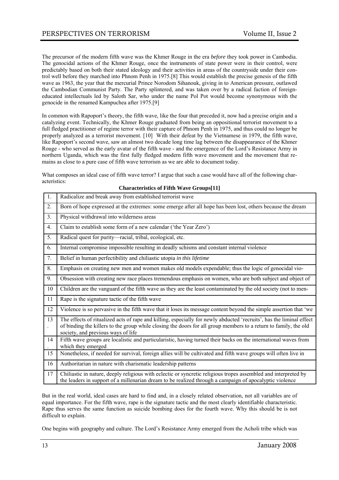The precursor of the modern fifth wave was the Khmer Rouge in the era *before* they took power in Cambodia. The genocidal actions of the Khmer Rouge, once the instruments of state power were in their control, were predictably based on both their stated ideology and their activities in areas of the countryside under their control well before they marched into Phnom Penh in 1975.[8] This would establish the precise genesis of the fifth wave as 1963, the year that the mercurial Prince Norodom Sihanouk, giving in to American pressure, outlawed the Cambodian Communist Party. The Party splintered, and was taken over by a radical faction of foreigneducated intellectuals led by Saloth Sar, who under the name Pol Pot would become synonymous with the genocide in the renamed Kampuchea after 1975.[9]

In common with Rapoport's theory, the fifth wave, like the four that preceded it, now had a precise origin and a catalyzing event. Technically, the Khmer Rouge graduated from being an oppositional terrorist movement to a full fledged practitioner of regime terror with their capture of Phnom Penh in 1975, and thus could no longer be properly analyzed as a terrorist movement. [10] With their defeat by the Vietnamese in 1979, the fifth wave, like Rapoport's second wave, saw an almost two decade long time lag between the disappearance of the Khmer Rouge - who served as the early avatar of the fifth wave - and the emergence of the Lord's Resistance Army in northern Uganda, which was the first fully fledged modern fifth wave movement and the movement that remains as close to a pure case of fifth wave terrorism as we are able to document today.

What composes an ideal case of fifth wave terror? I argue that such a case would have all of the following characteristics:

| 1.                         | Radicalize and break away from established terrorist wave                                                                                                                                                                                                                      |
|----------------------------|--------------------------------------------------------------------------------------------------------------------------------------------------------------------------------------------------------------------------------------------------------------------------------|
| 2.                         | Born of hope expressed at the extremes: some emerge after all hope has been lost, others because the dream                                                                                                                                                                     |
| 3.                         | Physical withdrawal into wilderness areas                                                                                                                                                                                                                                      |
| 4.                         | Claim to establish some form of a new calendar ('the Year Zero')                                                                                                                                                                                                               |
| 5.                         | Radical quest for purity-racial, tribal, ecological, etc.                                                                                                                                                                                                                      |
| 6.                         | Internal compromise impossible resulting in deadly schisms and constant internal violence                                                                                                                                                                                      |
| 7.                         | Belief in human perfectibility and chiliastic utopia in this lifetime                                                                                                                                                                                                          |
| 8.                         | Emphasis on creating new men and women makes old models expendable; thus the logic of genocidal vio-                                                                                                                                                                           |
| 9.                         | Obsession with creating new race places tremendous emphasis on women, who are both subject and object of                                                                                                                                                                       |
| 10                         | Children are the vanguard of the fifth wave as they are the least contaminated by the old society (not to men-                                                                                                                                                                 |
| 11                         | Rape is the signature tactic of the fifth wave                                                                                                                                                                                                                                 |
| 12                         | Violence is so pervasive in the fifth wave that it loses its message content beyond the simple assertion that 'we                                                                                                                                                              |
| 13<br>$\ddot{\phantom{0}}$ | The effects of ritualized acts of rape and killing, especially for newly abducted 'recruits', has the liminal effect<br>of binding the killers to the group while closing the doors for all group members to a return to family, the old<br>society, and previous ways of life |
| 14                         | Fifth wave groups are localistic and particularistic, having turned their backs on the international waves from<br>which they emerged                                                                                                                                          |
| 15                         | Nonetheless, if needed for survival, foreign allies will be cultivated and fifth wave groups will often live in                                                                                                                                                                |
| 16                         | Authoritarian in nature with charismatic leadership patterns                                                                                                                                                                                                                   |
| 17                         | Chiliastic in nature, deeply religious with eclectic or syncretic religious tropes assembled and interpreted by<br>the leaders in support of a millenarian dream to be realized through a campaign of apocalyptic violence                                                     |

**Characteristics of Fifth Wave Groups[11]** 

But in the real world, ideal cases are hard to find and, in a closely related observation, not all variables are of equal importance. For the fifth wave, rape is the signature tactic and the most clearly identifiable characteristic. Rape thus serves the same function as suicide bombing does for the fourth wave. Why this should be is not difficult to explain.

One begins with geography and culture. The Lord's Resistance Army emerged from the Acholi tribe which was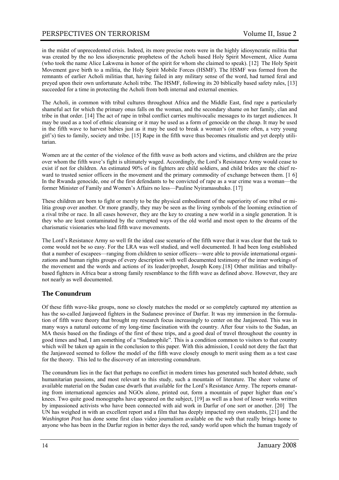in the midst of unprecedented crisis. Indeed, its more precise roots were in the highly idiosyncratic militia that was created by the no less idiosyncratic prophetess of the Acholi based Holy Spirit Movement, Alice Auma (who took the name Alice Lakwena in honor of the spirit for whom she claimed to speak). [12] The Holy Spirit Movement gave birth to a militia, the Holy Spirit Mobile Forces (HSMF). The HSMF was formed from the remnants of earlier Acholi militias that, having failed in any military sense of the word, had turned feral and preyed upon their own unfortunate Acholi tribe. The HSMF, following its 20 biblically based safety rules, [13] succeeded for a time in protecting the Acholi from both internal and external enemies.

The Acholi, in common with tribal cultures throughout Africa and the Middle East, find rape a particularly shameful act for which the primary onus falls on the woman, and the secondary shame on her family, clan and tribe in that order. [14] The act of rape in tribal conflict carries multivocalic messages to its target audiences. It may be used as a tool of ethnic cleansing or it may be used as a form of genocide on the cheap. It may be used in the fifth wave to harvest babies just as it may be used to break a woman's (or more often, a very young girl's) ties to family, society and tribe. [15] Rape in the fifth wave thus becomes ritualistic and yet deeply utilitarian.

Women are at the center of the violence of the fifth wave as both actors and victims, and children are the prize over whom the fifth wave's fight is ultimately waged. Accordingly, the Lord's Resistance Army would cease to exist if not for children. An estimated 90% of its fighters are child soldiers, and child brides are the chief reward to trusted senior officers in the movement and the primary commodity of exchange between them. [1 6] In the Rwanda genocide, one of the first defendants to be convicted of rape as a war crime was a woman—the former Minister of Family and Women's Affairs no less—Pauline Nyiramasuhuko. [17]

These children are born to fight or merely to be the physical embodiment of the superiority of one tribal or militia group over another. Or more grandly, they may be seen as the living symbols of the looming extinction of a rival tribe or race. In all cases however, they are the key to creating a new world in a single generation. It is they who are least contaminated by the corrupted ways of the old world and most open to the dreams of the charismatic visionaries who lead fifth wave movements.

The Lord's Resistance Army so well fit the ideal case scenario of the fifth wave that it was clear that the task to come would not be so easy. For the LRA was well studied, and well documented. It had been long established that a number of escapees—ranging from children to senior officers—were able to provide international organizations and human rights groups of every description with well documented testimony of the inner workings of the movement and the words and actions of its leader/prophet, Joseph Kony.[18] Other militias and triballybased fighters in Africa bear a strong family resemblance to the fifth wave as defined above. However, they are not nearly as well documented.

#### **The Conundrum**

Of these fifth wave-like groups, none so closely matches the model or so completely captured my attention as has the so-called Janjaweed fighters in the Sudanese province of Darfur. It was my immersion in the formulation of fifth wave theory that brought my research focus increasingly to center on the Janjaweed. This was in many ways a natural outcome of my long-time fascination with the country. After four visits to the Sudan, an MA thesis based on the findings of the first of these trips, and a good deal of travel throughout the country in good times and bad, I am something of a "Sudanophile". This is a condition common to visitors to that country which will be taken up again in the conclusion to this paper. With this admission, I could not deny the fact that the Janjaweed seemed to follow the model of the fifth wave closely enough to merit using them as a test case for the theory. This led to the discovery of an interesting conundrum.

The conundrum lies in the fact that perhaps no conflict in modern times has generated such heated debate, such humanitarian passions, and most relevant to this study, such a mountain of literature. The sheer volume of available material on the Sudan case dwarfs that available for the Lord's Resistance Army. The reports emanating from international agencies and NGOs alone, printed out, form a mountain of paper higher than one's knees. Two quite good monographs have appeared on the subject, [19] as well as a host of lesser works written by impassioned activists who have been connected with aid work in Darfur of one sort or another. [20] The UN has weighed in with an excellent report and a film that has deeply impacted my own students, [21] and the *Washington Post* has done some first class video journalism available on the web that really brings home to anyone who has been in the Darfur region in better days the red, sandy world upon which the human tragedy of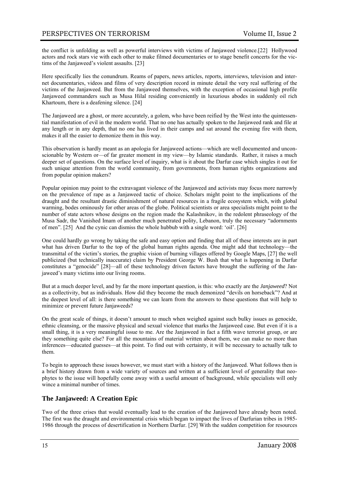the conflict is unfolding as well as powerful interviews with victims of Janjaweed violence.[22] Hollywood actors and rock stars vie with each other to make filmed documentaries or to stage benefit concerts for the victims of the Janjaweed's violent assaults. [23]

Here specifically lies the conundrum. Reams of papers, news articles, reports, interviews, television and internet documentaries, videos and films of very description record in minute detail the very real suffering of the victims of the Janjaweed. But from the Janjaweed themselves, with the exception of occasional high profile Janjaweed commanders such as Musa Hilal residing conveniently in luxurious abodes in suddenly oil rich Khartoum, there is a deafening silence. [24]

The Janjaweed are a ghost, or more accurately, a golem, who have been reified by the West into the quintessential manifestation of evil in the modern world. That no one has actually spoken to the Janjaweed rank and file at any length or in any depth, that no one has lived in their camps and sat around the evening fire with them, makes it all the easier to demonize them in this way.

This observation is hardly meant as an apologia for Janjaweed actions—which are well documented and unconscionable by Western or—of far greater moment in my view—by Islamic standards. Rather, it raises a much deeper set of questions. On the surface level of inquiry, what is it about the Darfur case which singles it out for such unique attention from the world community, from governments, from human rights organizations and from popular opinion makers?

Popular opinion may point to the extravagant violence of the Janjaweed and activists may focus more narrowly on the prevalence of rape as a Janjaweed tactic of choice. Scholars might point to the implications of the draught and the resultant drastic diminishment of natural resources in a fragile ecosystem which, with global warming, bodes ominously for other areas of the globe. Political scientists or area specialists might point to the number of state actors whose designs on the region made the Kalashnikov, in the redolent phraseology of the Musa Sadr, the Vanished Imam of another much penetrated polity, Lebanon, truly the necessary "adornments of men". [25] And the cynic can dismiss the whole hubbub with a single word: 'oil'. [26]

One could hardly go wrong by taking the safe and easy option and finding that all of these interests are in part what has driven Darfur to the top of the global human rights agenda. One might add that technology—the transmittal of the victim's stories, the graphic vision of burning villages offered by Google Maps, [27] the well publicized (but technically inaccurate) claim by President George W. Bush that what is happening in Darfur constitutes a "genocide" [28]—all of these technology driven factors have brought the suffering of the Janjaweed's many victims into our living rooms.

But at a much deeper level, and by far the more important question, is this: who exactly are the *Janjaweed*? Not as a collectivity, but as individuals. How did they become the much demonized "devils on horseback"? And at the deepest level of all: is there something we can learn from the answers to these questions that will help to minimize or prevent future Janjaweeds?

On the great scale of things, it doesn't amount to much when weighed against such bulky issues as genocide, ethnic cleansing, or the massive physical and sexual violence that marks the Janjaweed case. But even if it is a small thing, it is a very meaningful issue to me. Are the Janjaweed in fact a fifth wave terrorist group, or are they something quite else? For all the mountains of material written about them, we can make no more than inferences—educated guesses—at this point. To find out with certainty, it will be necessary to actually talk to them.

To begin to approach these issues however, we must start with a history of the Janjaweed. What follows then is a brief history drawn from a wide variety of sources and written at a sufficient level of generality that neophytes to the issue will hopefully come away with a useful amount of background, while specialists will only wince a minimal number of times.

#### **The Janjaweed: A Creation Epic**

Two of the three crises that would eventually lead to the creation of the Janjaweed have already been noted. The first was the draught and environmental crisis which began to impact the lives of Darfurian tribes in 1985- 1986 through the process of desertification in Northern Darfur. [29] With the sudden competition for resources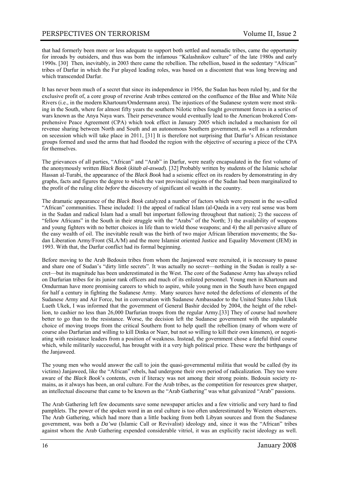that had formerly been more or less adequate to support both settled and nomadic tribes, came the opportunity for inroads by outsiders, and thus was born the infamous "Kalashnikov culture" of the late 1980s and early 1990s. [30] Then, inevitably, in 2003 there came the rebellion. The rebellion, based in the sedentary "African" tribes of Darfur in which the Fur played leading roles, was based on a discontent that was long brewing and which transcended Darfur.

It has never been much of a secret that since its independence in 1956, the Sudan has been ruled by, and for the exclusive profit of, a core group of reverine Arab tribes centered on the confluence of the Blue and White Nile Rivers (i.e., in the modern Khartoum/Omdermann area). The injustices of the Sudanese system were most striking in the South, where for almost fifty years the southern Nilotic tribes fought government forces in a series of wars known as the Anya Naya wars. Their perseverance would eventually lead to the American brokered Comprehensive Peace Agreement (CPA) which took effect in January 2005 which included a mechanism for oil revenue sharing between North and South and an autonomous Southern government, as well as a referendum on secession which will take place in 2011, [31] It is therefore not surprising that Darfur's African resistance groups formed and used the arms that had flooded the region with the objective of securing a piece of the CPA for themselves.

The grievances of all parties, "African" and "Arab" in Darfur, were neatly encapsulated in the first volume of the anonymously written *Black Book* (*kitab al-aswad*). [32] Probably written by students of the Islamic scholar Hassan al-Turabi, the appearance of the *Black Book* had a seismic effect on its readers by demonstrating in dry graphs, facts and figures the degree to which the vast provincial regions of the Sudan had been marginalized to the profit of the ruling elite *before* the discovery of significant oil wealth in the country.

The dramatic appearance of the *Black Book* catalyzed a number of factors which were present in the so-called "African" communities. These included: 1) the appeal of radical Islam (al-Qaeda in a very real sense was born in the Sudan and radical Islam had a small but important following throughout that nation); 2) the success of "fellow Africans" in the South in their struggle with the "Arabs" of the North; 3) the availability of weapons and young fighters with no better choices in life than to wield those weapons; and 4) the all pervasive allure of the easy wealth of oil. The inevitable result was the birth of two major African liberation movements; the Sudan Liberation Army/Front (SLA/M) and the more Islamist oriented Justice and Equality Movement (JEM) in 1993. With that, the Darfur conflict had its formal beginning.

Before moving to the Arab Bedouin tribes from whom the Janjaweed were recruited, it is necessary to pause and share one of Sudan's "dirty little secrets". It was actually no secret—nothing in the Sudan is really a secret—but its magnitude has been underestimated in the West. The core of the Sudanese Army has always relied on Darfurian tribes for its junior rank officers and much of its enlisted personnel. Young men in Khartoum and Omdurman have more promising careers to which to aspire, while young men in the South have been engaged for half a century in fighting the Sudanese Army. Many sources have noted the defections of elements of the Sudanese Army and Air Force, but in conversation with Sudanese Ambassador to the United States John Ukek Lueth Ukek, I was informed that the government of General Bashir decided by 2004, the height of the rebellion, to cashier no less than 26,000 Darfurian troops from the regular Army.[33] They of course had nowhere better to go than to the resistance. Worse, the decision left the Sudanese government with the unpalatable choice of moving troops from the critical Southern front to help quell the rebellion (many of whom were of course also Darfurian and willing to kill Dinka or Nuer, but not so willing to kill their own kinsmen), or negotiating with resistance leaders from a position of weakness. Instead, the government chose a fateful third course which, while militarily successful, has brought with it a very high political price. These were the birthpangs of the Janjaweed.

The young men who would answer the call to join the quasi-governmental militia that would be called (by its victims) Janjaweed, like the "African" rebels, had undergone their own period of radicalization. They too were aware of the *Black Book*'s contents, even if literacy was not among their strong points. Bedouin society remains, as it always has been, an oral culture. For the Arab tribes, as the competition for resources grew sharper, an intellectual discourse that came to be known as the "Arab Gathering" was what galvanized "Arab" passions.

The Arab Gathering left few documents save some newspaper articles and a few vitriolic and very hard to find pamphlets. The power of the spoken word in an oral culture is too often underestimated by Western observers. The Arab Gathering, which had more than a little backing from both Libyan sources and from the Sudanese government, was both a *Da'wa* (Islamic Call or Revivalist) ideology and, since it was the "African" tribes against whom the Arab Gathering expended considerable vitriol, it was an explicitly racist ideology as well.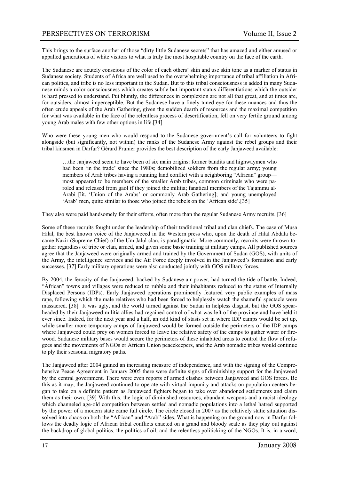This brings to the surface another of those "dirty little Sudanese secrets" that has amazed and either amused or appalled generations of white visitors to what is truly the most hospitable country on the face of the earth.

The Sudanese are acutely conscious of the color of each others' skin and use skin tone as a marker of status in Sudanese society. Students of Africa are well used to the overwhelming importance of tribal affiliation in African politics, and tribe is no less important in the Sudan. But to this tribal consciousness is added in many Sudanese minds a color consciousness which creates subtle but important status differentiations which the outsider is hard pressed to understand. Put bluntly, the differences in complexion are not all that great, and at times are, for outsiders, almost imperceptible. But the Sudanese have a finely tuned eye for these nuances and thus the often crude appeals of the Arab Gathering, given the sudden dearth of resources and the maximal competition for what was available in the face of the relentless process of desertification, fell on very fertile ground among young Arab males with few other options in life.[34]

Who were these young men who would respond to the Sudanese government's call for volunteers to fight alongside (but significantly, not within) the ranks of the Sudanese Army against the rebel groups and their tribal kinsmen in Darfur? Gérard Prunier provides the best description of the early Janjaweed available:

…the Janjaweed seem to have been of six main origins: former bandits and highwaymen who had been 'in the trade' since the 1980s; demobilized soldiers from the regular army; young members of Arab tribes having a running land conflict with a neighboring "African" group most appeared to be members of the smaller Arab tribes, common criminals who were paroled and released from gaol if they joined the militia; fanatical members of the Tajammu al-Arabi [lit. 'Union of the Arabs' or commonly Arab Gathering]; and young unemployed 'Arab' men, quite similar to those who joined the rebels on the 'African side'.[35]

They also were paid handsomely for their efforts, often more than the regular Sudanese Army recruits. [36]

Some of these recruits fought under the leadership of their traditional tribal and clan chiefs. The case of Musa Hilal, the best known voice of the Janjaweeed in the Western press who, upon the death of Hilal Abdala became Nazir (Supreme Chief) of the Um Jalul clan, is paradigmatic. More commonly, recruits were thrown together regardless of tribe or clan, armed, and given some basic training at military camps. All published sources agree that the Janjaweed were originally armed and trained by the Government of Sudan (GOS), with units of the Army, the intelligence services and the Air Force deeply involved in the Janjaweed's formation and early successes. [37] Early military operations were also conducted jointly with GOS military forces.

By 2004, the ferocity of the Janjaweed, backed by Sudanese air power, had turned the tide of battle. Indeed, "African" towns and villages were reduced to rubble and their inhabitants reduced to the status of Internally Displaced Persons (IDPs). Early Janjaweed operations prominently featured very public examples of mass rape, following which the male relatives who had been forced to helplessly watch the shameful spectacle were massacred. [38] It was ugly, and the world turned against the Sudan in helpless disgust, but the GOS spearheaded by their Janjaweed militia allies had regained control of what was left of the province and have held it ever since. Indeed, for the next year and a half, an odd kind of stasis set in where IDP camps would be set up, while smaller more temporary camps of Janjaweed would be formed outside the perimeters of the IDP camps where Janjaweed could prey on women forced to leave the relative safety of the camps to gather water or firewood. Sudanese military bases would secure the perimeters of these inhabited areas to control the flow of refugees and the movements of NGOs or African Union peacekeepers, and the Arab nomadic tribes would continue to ply their seasonal migratory paths.

The Janjaweed after 2004 gained an increasing measure of independence, and with the signing of the Comprehensive Peace Agreement in January 2005 there were definite signs of diminishing support for the Janjaweed by the central government. There were even reports of armed clashes between Janjaweed and GOS forces. Be this as it may, the Janjaweed continued to operate with virtual impunity and attacks on population centers began to take on a definite pattern as Janjaweed fighters began to take over abandoned settlements and claim them as their own. [39] With this, the logic of diminished resources, abundant weapons and a racist ideology which channeled age-old competition between settled and nomadic populations into a lethal hatred supported by the power of a modern state came full circle. The circle closed in 2007 as the relatively static situation dissolved into chaos on both the "African" and "Arab" sides. What is happening on the ground now in Darfur follows the deadly logic of African tribal conflicts enacted on a grand and bloody scale as they play out against the backdrop of global politics, the politics of oil, and the relentless politicking of the NGOs. It is, in a word,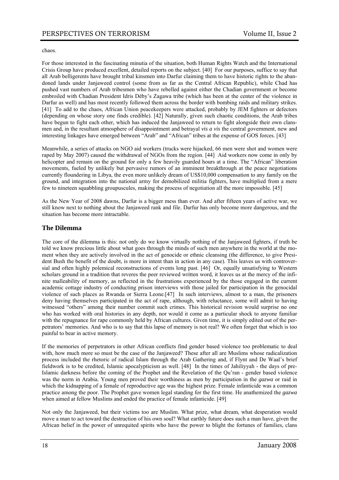chaos.

For those interested in the fascinating minutia of the situation, both Human Rights Watch and the International Crisis Group have produced excellent, detailed reports on the subject. [40] For our purposes, suffice to say that all Arab belligerents have brought tribal kinsmen into Darfur claiming them to have historic rights to the abandoned lands under Janjaweed control (some from as far as the Central African Republic), while Chad has pushed vast numbers of Arab tribesmen who have rebelled against either the Chadian government or become embroiled with Chadian President Idris Déby's Zagawa tribe (which has been at the center of the violence in Darfur as well) and has most recently followed them across the border with bombing raids and military strikes. [41] To add to the chaos, African Union peacekeepers were attacked, probably by JEM fighters or defectors (depending on whose story one finds credible). [42] Naturally, given such chaotic conditions, the Arab tribes have begun to fight each other, which has induced the Janjaweed to return to fight alongside their own clansmen and, in the resultant atmosphere of disappointment and betrayal *vis a vis* the central government, new and interesting linkages have emerged between "Arab" and "African" tribes at the expense of GOS forces. [43]

Meanwhile, a series of attacks on NGO aid workers (trucks were hijacked, 66 men were shot and women were raped by May 2007) caused the withdrawal of NGOs from the region. [44] Aid workers now come in only by helicopter and remain on the ground for only a few heavily guarded hours at a time. The "African" liberation movements, fueled by unlikely but pervasive rumors of an imminent breakthrough at the peace negotiations currently floundering in Libya, the even more unlikely dream of US\$10,000 compensation to any family on the ground, and integration into the national army for demobilized militia fighters, have multiplied from a mere few to nineteen squabbling groupuscules, making the process of negotiation all the more impossible. [45]

As the New Year of 2008 dawns, Darfur is a bigger mess than ever. And after fifteen years of active war, we still know next to nothing about the Janjaweed rank and file. Darfur has only become more dangerous, and the situation has become more intractable.

#### **The Dilemma**

The core of the dilemma is this: not only do we know virtually nothing of the Janjaweed fighters, if truth be told we know precious little about what goes through the minds of such men anywhere in the world at the moment when they are actively involved in the act of genocide or ethnic cleansing (the difference, to give President Bush the benefit of the doubt, is more in intent than in action in any case). This leaves us with controversial and often highly polemical reconstructions of events long past. [46] Or, equally unsatisfying to Western scholars ground in a tradition that reveres the peer reviewed written word, it leaves us at the mercy of the infinite malleability of memory, as reflected in the frustrations experienced by the those engaged in the current academic cottage industry of conducting prison interviews with those jailed for participation in the genocidal violence of such places as Rwanda or Sierra Leone.[47] In such interviews, almost to a man, the prisoners deny having themselves participated in the act of rape, although, with reluctance, some will admit to having witnessed "others" among their number commit such crimes. This historical revision would surprise no one who has worked with oral histories in any depth, nor would it come as a particular shock to anyone familiar with the repugnance for rape commonly held by African cultures. Given time, it is simply edited out of the perpetrators' memories. And who is to say that this lapse of memory is not real? We often forget that which is too painful to bear in active memory.

If the memories of perpetrators in other African conflicts find gender based violence too problematic to deal with, how much more so must be the case of the Janjaweed? These after all are Muslims whose radicalization process included the rhetoric of radical Islam through the Arab Gathering and, if Flynt and De Waal's brief fieldwork is to be credited, Islamic apocalypticism as well. [48] In the times of Jahiliyyah - the days of pre-Islamic darkness before the coming of the Prophet and the Revelation of the Qu'ran - gender based violence was the norm in Arabia. Young men proved their worthiness as men by participation in the *gazwa* or raid in which the kidnapping of a female of reproductive age was the highest prize. Female infanticide was a common practice among the poor. The Prophet gave women legal standing for the first time. He anathemized the *gazwa* when aimed at fellow Muslims and ended the practice of female infanticide. [49]

Not only the Janjaweed, but their victims too are Muslim. What prize, what dream, what desperation would move a man to act toward the destruction of his own soul? What earthly future does such a man have, given the African belief in the power of unrequited spirits who have the power to blight the fortunes of families, clans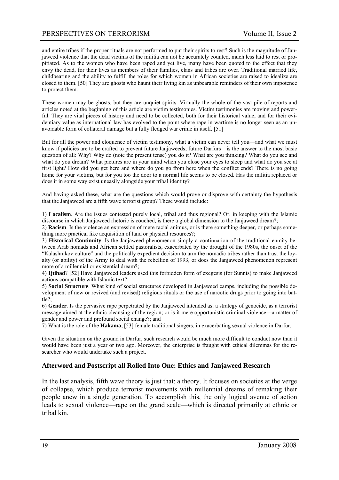and entire tribes if the proper rituals are not performed to put their spirits to rest? Such is the magnitude of Janjaweed violence that the dead victims of the militia can not be accurately counted, much less laid to rest or propitiated. As to the women who have been raped and yet live, many have been quoted to the effect that they envy the dead, for their lives as members of their families, clans and tribes are over. Traditional married life, childbearing and the ability to fulfill the roles for which women in African societies are raised to idealize are closed to them. [50] They are ghosts who haunt their living kin as unbearable reminders of their own impotence to protect them.

These women may be ghosts, but they are unquiet spirits. Virtually the whole of the vast pile of reports and articles noted at the beginning of this article are victim testimonies. Victim testimonies are moving and powerful. They are vital pieces of history and need to be collected, both for their historical value, and for their evidentiary value as international law has evolved to the point where rape in wartime is no longer seen as an unavoidable form of collateral damage but a fully fledged war crime in itself. [51]

But for all the power and eloquence of victim testimony, what a victim can never tell you—and what we must know if policies are to be crafted to prevent future Janjaweeds; future Darfurs—is the answer to the most basic question of all: Why? Why do (note the present tense) you do it? What are you thinking? What do you see and what do you dream? What pictures are in your mind when you close your eyes to sleep and what do you see at first light? How did you get here and where do you go from here when the conflict ends? There is no going home for your victims, but for you too the door to a normal life seems to be closed. Has the militia replaced or does it in some way exist uneasily alongside your tribal identity?

And having asked these, what are the questions which would prove or disprove with certainty the hypothesis that the Janjaweed are a fifth wave terrorist group? These would include:

1) **Localism**. Are the issues contested purely local, tribal and thus regional? Or, in keeping with the Islamic discourse in which Janjaweed rhetoric is couched, is there a global dimension to the Janjaweed dream?;

2) **Racism**. Is the violence an expression of mere racial animus, or is there something deeper, or perhaps something more practical like acquisition of land or physical resources?;

3) **Historical Continuity**. Is the Janjaweed phenomenon simply a continuation of the traditional enmity between Arab nomads and African settled pastoralists, exacerbated by the drought of the 1980s, the onset of the "Kalashnikov culture" and the politically expedient decision to arm the nomadic tribes rather than trust the loyalty (or ability) of the Army to deal with the rebellion of 1993, or does the Janjaweed phenomenon represent more of a millennial or existential dream?;

4) **Ijtihad**? [52] Have Janjaweed leaders used this forbidden form of exegesis (for Sunnis) to make Janjaweed actions compatible with Islamic text?;

5) **Social Structure**. What kind of social structures developed in Janjaweed camps, including the possible development of new or revived (and revised) religious rituals or the use of narcotic drugs prior to going into battle?;

6) **Gender**. Is the pervasive rape perpetrated by the Janjaweed intended as: a strategy of genocide, as a terrorist message aimed at the ethnic cleansing of the region; or is it mere opportunistic criminal violence—a matter of gender and power and profound social change?; and

7) What is the role of the **Hakama**, [53] female traditional singers, in exacerbating sexual violence in Darfur.

Given the situation on the ground in Darfur, such research would be much more difficult to conduct now than it would have been just a year or two ago. Moreover, the enterprise is fraught with ethical dilemmas for the researcher who would undertake such a project.

#### **Afterword and Postscript all Rolled Into One: Ethics and Janjaweed Research**

In the last analysis, fifth wave theory is just that; a theory. It focuses on societies at the verge of collapse, which produce terrorist movements with millennial dreams of remaking their people anew in a single generation. To accomplish this, the only logical avenue of action leads to sexual violence—rape on the grand scale—which is directed primarily at ethnic or tribal kin.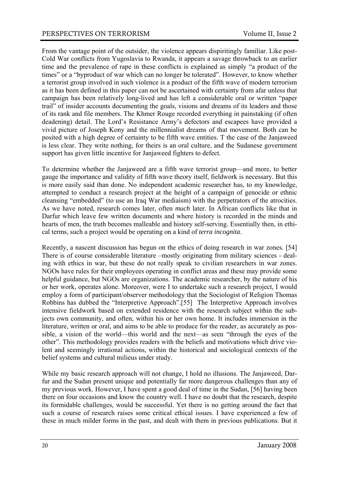From the vantage point of the outsider, the violence appears dispiritingly familiar. Like post-Cold War conflicts from Yugoslavia to Rwanda, it appears a savage throwback to an earlier time and the prevalence of rape in these conflicts is explained as simply "a product of the times" or a "byproduct of war which can no longer be tolerated". However, to know whether a terrorist group involved in such violence is a product of the fifth wave of modern terrorism as it has been defined in this paper can not be ascertained with certainty from afar unless that campaign has been relatively long-lived and has left a considerable oral or written "paper trail" of insider accounts documenting the goals, visions and dreams of its leaders and those of its rank and file members. The Khmer Rouge recorded everything in painstaking (if often deadening) detail. The Lord's Resistance Army's defectors and escapees have provided a vivid picture of Joseph Kony and the millennialist dreams of that movement. Both can be posited with a high degree of certainty to be fifth wave entities. T the case of the Janjaweed is less clear. They write nothing, for theirs is an oral culture, and the Sudanese government support has given little incentive for Janjaweed fighters to defect.

To determine whether the Janjaweed are a fifth wave terrorist group—and more, to better gauge the importance and validity of fifth wave theory itself, fieldwork is necessary. But this is more easily said than done. No independent academic researcher has, to my knowledge, attempted to conduct a research project at the height of a campaign of genocide or ethnic cleansing "embedded" (to use an Iraq War mediaism) with the perpetrators of the atrocities. As we have noted, research comes later, often *much* later. In African conflicts like that in Darfur which leave few written documents and where history is recorded in the minds and hearts of men, the truth becomes malleable and history self-serving. Essentially then, in ethical terms, such a project would be operating on a kind of *terra incognita*.

Recently, a nascent discussion has begun on the ethics of doing research in war zones. [54] There is of course considerable literature –mostly originating from military sciences - dealing with ethics in war, but these do not really speak to civilian researchers in war zones. NGOs have rules for their employees operating in conflict areas and these may provide some helpful guidance, but NGOs are organizations. The academic researcher, by the nature of his or her work, operates alone. Moreover, were I to undertake such a research project, I would employ a form of participant/observer methodology that the Sociologist of Religion Thomas Robbins has dubbed the "Interpretive Approach".[55] The Interpretive Approach involves intensive fieldwork based on extended residence with the research subject within the subjects own community, and often, within his or her own home. It includes immersion in the literature, written or oral, and aims to be able to produce for the reader, as accurately as possible, a vision of the world—this world and the next—as seen "through the eyes of the other". This methodology provides readers with the beliefs and motivations which drive violent and seemingly irrational actions, within the historical and sociological contexts of the belief systems and cultural milieus under study.

While my basic research approach will not change, I hold no illusions. The Janjaweed, Darfur and the Sudan present unique and potentially far more dangerous challenges than any of my previous work. However, I have spent a good deal of time in the Sudan, [56] having been there on four occasions and know the country well. I have no doubt that the research, despite its formidable challenges, would be successful. Yet there is no getting around the fact that such a course of research raises some critical ethical issues. I have experienced a few of these in much milder forms in the past, and dealt with them in previous publications. But it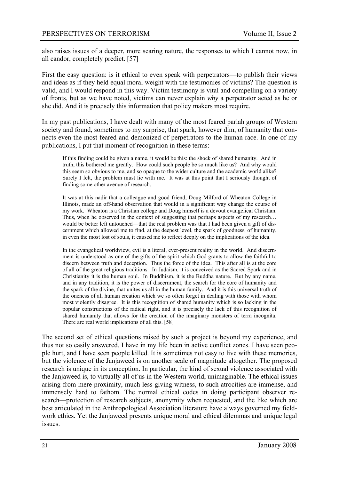also raises issues of a deeper, more searing nature, the responses to which I cannot now, in all candor, completely predict. [57]

First the easy question: is it ethical to even speak with perpetrators—to publish their views and ideas as if they held equal moral weight with the testimonies of victims? The question is valid, and I would respond in this way. Victim testimony is vital and compelling on a variety of fronts, but as we have noted, victims can never explain *why* a perpetrator acted as he or she did. And it is precisely this information that policy makers most require.

In my past publications, I have dealt with many of the most feared pariah groups of Western society and found, sometimes to my surprise, that spark, however dim, of humanity that connects even the most feared and demonized of perpetrators to the human race. In one of my publications, I put that moment of recognition in these terms:

If this finding could be given a name, it would be this: the shock of shared humanity. And in truth, this bothered me greatly. How could such people be so much like us? And why would this seem so obvious to me, and so opaque to the wider culture and the academic world alike? Surely I felt, the problem must lie with me. It was at this point that I seriously thought of finding some other avenue of research.

It was at this nadir that a colleague and good friend, Doug Milford of Wheaton College in Illinois, made an off-hand observation that would in a significant way change the course of my work. Wheaton is a Christian college and Doug himself is a devout evangelical Christian. Thus, when he observed in the context of suggesting that perhaps aspects of my research… would be better left untouched—that the real problem was that I had been given a gift of discernment which allowed me to find, at the deepest level, the spark of goodness, of humanity, in even the most lost of souls, it caused me to reflect deeply on the implications of the idea.

In the evangelical worldview, evil is a literal, ever-present reality in the world. And discernment is understood as one of the gifts of the spirit which God grants to allow the faithful to discern between truth and deception. Thus the force of the idea. This after all is at the core of all of the great religious traditions. In Judaism, it is conceived as the Sacred Spark and in Christianity it is the human soul. In Buddhism, it is the Buddha nature. But by any name, and in any tradition, it is the power of discernment, the search for the core of humanity and the spark of the divine, that unites us all in the human family. And it is this universal truth of the oneness of all human creation which we so often forget in dealing with those with whom most violently disagree. It is this recognition of shared humanity which is so lacking in the popular constructions of the radical right, and it is precisely the lack of this recognition of shared humanity that allows for the creation of the imaginary monsters of terra incognita. There are real world implications of all this. [58]

The second set of ethical questions raised by such a project is beyond my experience, and thus not so easily answered. I have in my life been in active conflict zones. I have seen people hurt, and I have seen people killed. It is sometimes not easy to live with these memories, but the violence of the Janjaweed is on another scale of magnitude altogether. The proposed research is unique in its conception. In particular, the kind of sexual violence associated with the Janjaweed is, to virtually all of us in the Western world, unimaginable. The ethical issues arising from mere proximity, much less giving witness, to such atrocities are immense, and immensely hard to fathom. The normal ethical codes in doing participant observer research—protection of research subjects, anonymity when requested, and the like which are best articulated in the Anthropological Association literature have always governed my fieldwork ethics. Yet the Janjaweed presents unique moral and ethical dilemmas and unique legal issues.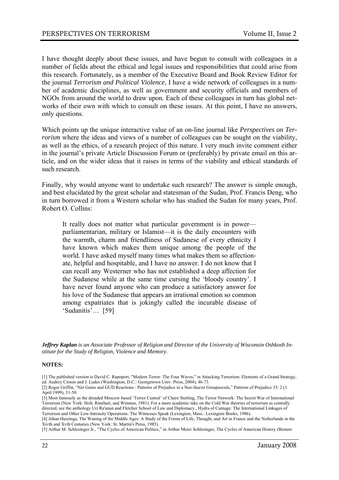I have thought deeply about these issues, and have begun to consult with colleagues in a number of fields about the ethical and legal issues and responsibilities that could arise from this research. Fortunately, as a member of the Executive Board and Book Review Editor for the journal *Terrorism and Political Violence*, I have a wide network of colleagues in a number of academic disciplines, as well as government and security officials and members of NGOs from around the world to draw upon. Each of these colleagues in turn has global networks of their own with which to consult on these issues. At this point, I have no answers, only questions.

Which points up the unique interactive value of an on-line journal like *Perspectives on Terrorism* where the ideas and views of a number of colleagues can be sought on the viability, as well as the ethics, of a research project of this nature. I very much invite comment either in the journal's private Article Discussion Forum or (preferably) by private email on this article, and on the wider ideas that it raises in terms of the viability and ethical standards of such research.

Finally, why would anyone want to undertake such research? The answer is simple enough, and best elucidated by the great scholar and statesman of the Sudan, Prof. Francis Deng, who in turn borrowed it from a Western scholar who has studied the Sudan for many years, Prof. Robert O. Collins:

It really does not matter what particular government is in power parliamentarian, military or Islamist—it is the daily encounters with the warmth, charm and friendliness of Sudanese of every ethnicity I have known which makes them unique among the people of the world. I have asked myself many times what makes them so affectionate, helpful and hospitable, and I have no answer. I do not know that I can recall any Westerner who has not established a deep affection for the Sudanese while at the same time cursing the 'bloody country'. I have never found anyone who can produce a satisfactory answer for his love of the Sudanese that appears an irrational emotion so common among expatriates that is jokingly called the incurable disease of 'Sudanitis'… [59]

*Jeffrey Kaplan is an Associate Professor of Religion and Director of the University of Wisconsin Oshkosh Institute for the Study of Religion, Violence and Memory.* 

#### **NOTES:**

[4] Johan Huizinga, The Waning of the Middle Ages: A Study of the Forms of Life, Thought, and Art in France and the Netherlands in the Xivth and Xvth Centuries (New York: St. Martin's Press, 1985).

[5] Arthur M. Schlesinger Jr., "The Cycles of American Politics," in Arthur Meier Schlesinger, The Cycles of American History (Boston:

<sup>[1]</sup> The published version is David C. Rapoport, "Modern Terror: The Four Waves," in Attacking Terrorism: Elements of a Grand Strategy, ed. Audrey Cronin and J. Ludes (Washington, D.C.: Georgetown Univ. Press, 2004), 46-73.

<sup>[2]</sup> Roger Griffin, "Net Gains and GUD Reactions : Patterns of Prejudice in a Neo-fascist Groupuscule," Patterns of Prejudice 33: 2 (1 April 1999), 31-50.

<sup>[3]</sup> Most famously as the dreaded Moscow based 'Terror Central' of Claire Sterling, The Terror Network: The Secret War of International Terrorism (New York: Holt, Rinehart, and Winston, 1981). For a more academic take on the Cold War theories of terrorism as centrally directed, see the anthology Uri Ra'anan and Fletcher School of Law and Diplomacy., Hydra of Carnage: The International Linkages of Terrorism and Other Low-Intensity Operations: The Witnesses Speak (Lexington, Mass.: Lexington Books, 1986).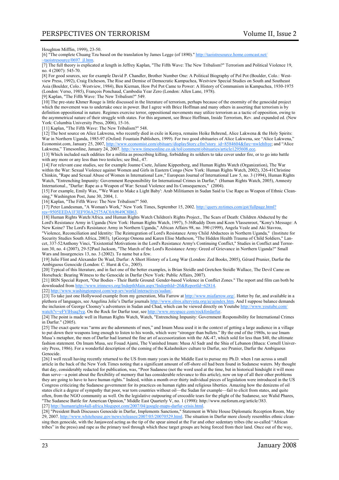Houghton Mifflin, 1999), 23-50.

[6] "The complete Chuang Tzu based on the translation by James Legge (of 1890)." http://taoistresource.home.comcast.net/

source/0697\_il.htm

[7] The full theory is explicated at length in Jeffrey Kaplan, "The Fifth Wave: The New Tribalism?" Terrorism and Political Violence 19, no. 4 (2007): 545-70.

[8] For good sources, see for example David P. Chandler, Brother Number One: A Political Biography of Pol Pot (Boulder, Colo.: Westview Press, 1992), Craig Etcheson, The Rise and Demise of Democratic Kampuchea, Westview Special Studies on South and Southeast Asia (Boulder, Colo.: Westview, 1984), Ben Kiernan, How Pol Pot Came to Power: A History of Communism in Kampuchea, 1930-1975 (London: Verso, 1985), François Ponchaud, Cambodia Year Zero (London: Allen Lane, 1978).

[9] Kaplan, "The Fifth Wave: The New Tribalism?" 549.

[10] The pre-state Khmer Rouge is little discussed in the literature of terrorism, perhaps because of the enormity of the genocidal project which the movement was to undertake once in power. But I agree with Brice Hoffman and many others in asserting that terrorism is by definition oppositional in nature. Regimes exercise terror, oppositional movements may utilize terrorism as a tactic of opposition, owing to the asymmetrical nature of their struggle with states. For this argument, see Bruce Hoffman, Inside Terrorism, Rev. and expanded ed. (New York: Columbia University Press, 2006), 15-16.

[11] Kaplan, "The Fifth Wave: The New Tribalism?" 548.

[12] The best source on Alice Lakwena, who recently died in exile in Kenya, remains Heike Behrend, Alice Lakwena & the Holy Spirits: War in Northern Uganda, 1985-97 (Oxford: Fountain Publishers, 1999). For two good obituaries of Alice Lakwena, see "Alice Lakwena," Economist.com, January 25, 2007, http://www.economist.com/obituary/displayStory.cfm?story\_id=8584604&fsrc=nwlehfree; and "Alice Lakwena," Timesonline, January 24, 2007. http://www.timesonline.co.uk/tol/comment/obituaries/article1295608.ece.

[13] Which included such oddities for a militia as proscribing killing, forbidding its soldiers to take cover under fire, or to go into battle with any more or any less than two testicles; see Ibid., 47.

[14] For relevant case studies, see for example Joanne Csete, Juliane Kippenberg, and Human Rights Watch (Organization), The War within the War: Sexual Violence against Women and Girls in Eastern Congo (New York: Human Rights Watch, 2002), 326-41Christine Chinkin, "Rape and Sexual Abuse of Women in International Law," European Journal of International Law 5, no. 3 (1994), Human Rights Watch, "Entrenching Impunity: Government Responsibility for International Crimes in Darfur," (Human Rights Watch, 2005), Amnesty International., "Darfur: Rape as a Weapon of War: Sexual Violence and Its Consequences," (2004).

[15] For example, Emily Wax, "'We Want to Make a Light Baby': Arab Militiamen in Sudan Said to Use Rape as Weapon of Ethnic Cleansing," Washington Post, June 30, 2004, 1.

[16] Kaplan, "The Fifth Wave: The New Tribalism?" 560.

[17] Peter Landesman, "A Woman's Work," New York Times, September 15, 2002. http://query.nytimes.com/gst/fullpage.html? res=9505EEDA1F3EF936A2575AC0A9649C8B63.

[18] Human Rights Watch/Africa. and Human Rights Watch Children's Rights Project., The Scars of Death: Children Abducted by the Lord's Resistance Army in Uganda (New York: Human Rights Watch, 1997), 5-36Ruddy Dorn and Koen Vlassenroot, "Kony's Message: A New Koine? The Lord's Resistance Army in Northern Uganda," African Affairs 98, no. 390 (1999), Angela Veale and Aki Stavrou, "Violence, Reconciliation and Identity: The Reintegration of Lord's Resistance Army Child Abductees in Northern Uganda," (Institute for Security Studies South Africa, 2003), 1pGeorge Omona and Karen Elise Matheson, "The Hidden Health Trauma of Child Soldiers," Lancet, 337-52Anthony Vinci, "Existential Motivations in the Lord's Resistance Army's Continuing Conflict," Studies in Conflict and Terrorism 30, no. 4 (2007), 29-52Paul Jackson, "The March of the Lord's Resistance Army: Greed of Grievance in Northern Uganda?" Small Wars and Insurgencies 13, no. 3 (2002). To name but a few.

[19] Julie Flint and Alexander De Waal, Darfur: A Short History of a Long War (London: Zed Books, 2005), Gérard Prunier, Darfur the Ambiguous Genocide (London: C. Hurst & Co., 2005).

[20] Typical of this literature, and in fact one of the better examples, is Brian Steidle and Gretchen Steidle Wallace, The Devil Came on Horseback: Bearing Witness to the Genocide in Darfur (New York: Public Affairs, 2007).

[21] IRIN Special Report, "Our Bodies - Their Battle Ground: Gender-based Violence in Conflict Zones." The report and film can both be downloaded from http://www.irinnews.org/IndepthMain.aspx?IndepthId=20&ReportId=62814.

[22] http://www.washingtonpost.com/wp-srv/world/interactives/sudan/.

[23] To take just one Hollywood example from my generation, Mia Farrow at http://www.miafarrow.org/. Hotter by far, and available in a plethora of languages, see Angelina Jolie's Darfur journals http://www.elros.altervista.org/aj/ajindex.htm. And I suppose balance demands the inclusion of George Clooney's adventures in Sudan and Chad, which can be viewed directly on Youtube http://www.youtube.com/ watch?v=eFVlHsaq5yg. On the Rock for Darfur tour, see http://www.myspace.com/rockfordarfur.

[24] The point is made well in Human Rights Watch, Watch, "Entrenching Impunity: Government Responsibility for International Crimes in Darfur." (2005).

[25] The exact quote was "arms are the adornments of men," and Imam Musa used it in the context of getting a large audience in a village to put down their weapons long enough to listen to his words, which were "stronger than bullets." By the end of the 1980s, to use Imam Musa's metaphor, the men of Darfur had learned the fine art of accessorization with the AK-47, which sold for less than \$40, the ultimate fashion statement. On Imam Musa, see Fouad Ajami, The Vanished Imam: Musa Al Sadr and the Shia of Lebanon (Ithaca: Cornell University Press, 1986). For a wonderful description of the coming of the Kalashnikov culture to Darfur, see Prunier, Darfur the Ambiguous Genocide.

[26] I well recall having recently returned to the US from many years in the Middle East to pursue my Ph.D. when I ran across a small article in the back of the New York Times noting that a significant amount of off-shore oil had been found in Sudanese waters. My thought that day, considerably redacted for publication, was, "Poor Sudanese (not the word used at the time, but in historical hindsight it will more than serve—a point about the flexibility of memory that has considerable relevance to this article), now on top of all their other problems they are going to have to have human rights." Indeed, within a month over thirty individual pieces of legislation were introduced in the US Congress criticizing the Sudanese government for its practices on human rights and religious liberties. Amazing how the denizens of oil states elicit a degree of sympathy that poor, war torn countries without oil—the Sudan for example—fail to elicit from states, and quite often, from the NGO community as well. On the legislative outpouring of crocodile tears for the plight of the Sudanese, see Walid Phares, "The Sudanese Battle for American Opinion," Middle East Quarterly V, no. 1 (1998): http://www.meforum.org/article/383.

[27] http://humanrights4all-africa.blogspot.com/2007/04/google-maps-darfur-crisis.html.

[28] "President Bush Discusses Genocide in Darfur, Implements Sanctions," Statement in White House Diplomatic Reception Room, May 29, 2007. http://www.whitehouse.gov/news/releases/2007/05/20070529.html. The situation in Darfur more closely resembles ethnic cleansing then genocide, with the Janjaweed acting as the tip of the spear aimed at the Fur and other sedentary tribes (the so-called "African tribes" in the press) and rape as the primary tool through which these target groups are being forced from their land. Once out of the way,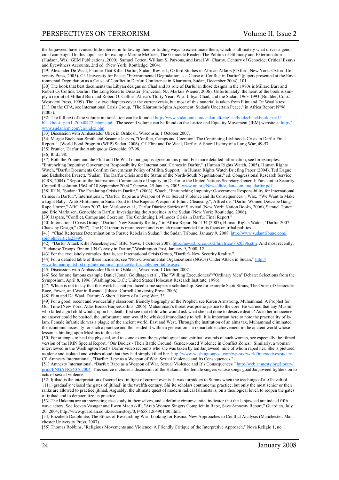the Janjaweed have evinced little interest in following them or finding ways to exterminate them, which is ultimately what drives a genocidal campaign. On this topic, see for example Marnie McCuen, The Genocide Reader: The Politics of Ethnicity and Extermination (Hudson, Wis.: GEM Publications, 2000), Samuel Totten, William S. Parsons, and Israel W. Charny, Century of Genocide: Critical Essays and Eyewitness Accounts, 2nd ed. (New York: Routledge, 2004).

[29] Alexander De Waal, Famine That Kills: Darfur, Sudan, Rev. ed., Oxford Studies in African Affairs (Oxford; New York: Oxford University Press, 2005). Cf. University for Peace, "Environmental Degradation as a Cause of Conflict in Darfur" (papers presented at the Environmental Degradation as a Cause of Conflict in Darfur, Conference in Khartoum, Sudan, December 2004), 101.

[30] The book that best documents the Libyan designs on Chad and its role of Darfur in those designs in the 1980s is Millard Burr and Robert O. Collins, Darfur: The Long Road to Disaster (Princeton, NJ: Markus Wiener, 2006). Unfortunately, the heart of the book is simply a reprint of Millard Burr and Robert O. Collins, Africa's Thirty Years War: Libya, Chad, and the Sudan, 1963-1993 (Boulder, Colo.: Westview Press, 1999). The last two chapters cover the current crisis, but most of this material is taken from Flint and De Waal's text. [31] On the CPA, see International Crisis Group, "The Khartoum-Splm Agreement: Sudan's Uncertain Peace," in Africa Report N°96  $(2005).$ 

[32] The full text of the volume in translation can be found at http://www.sudanjem.com/sudan-alt/english/books/blackbook\_part1/ blackbook\_part1\_20040422\_bbone.pdf. The second volume can be found on the Justice and Equality Movement (JEM) website at http:// www.sudanjem.com/en/index.php.

[33] Discussion with Ambassador Ukek in Oshkosh, Wisconsin, 1 October 2007.

[34] Margie Buchanan-Smith and Susanne Jaspars, "Conflict, Camps and Coercion: The Continuing Livlihoods Crisis in Darfur Final Report," (World Food Program (WFP) Sudan, 2006). Cf. Flint and De Waal, Darfur: A Short History of a Long War, 49-57. [35] Prunier, Darfur the Ambiguous Genocide, 97-98.

[36] Ibid., 98.

[37] Both the Prunier and the Flint and De Waal monographs agree on this point. For more detailed information, see for examples: "Entrenching Impunity: Government Responsibility for International Crimes in Darfur," (Human Rights Watch, 2005). Human Rights Watch, "Darfur Documents Confirm Government Policy of Militia Support," in Human Rights Watch Briefing Paper (2004). Ted Dagne and Bathsheaba Everett, "Sudan: The Darfur Crisis and the Status of the North-South Negotiations," ed. Congressional Research Service (CRS, 2004). "Report of the International Commission of Inquiry on Darfur to the United Nations Secretary-General: Pursuant to Security Council Resolution 1564 of 18 September 2004." Geneva, 25 January 2005. www.un.org/News/dh/sudan/com\_inq\_darfur.pdf.

[38] IRIN, "Sudan: The Escalating Crisis in Darfur," (2003), Watch, "Entrenching Impunity: Government Responsibility for International Crimes in Darfur.", International., "Darfur: Rape as a Weapon of War: Sexual Violence and Its Consequences.", Wax, "'We Want to Make a Light Baby': Arab Militiamen in Sudan Said to Use Rape as Weapon of Ethnic Cleansing.", Alfred de, "Darfur Women Describe Gang-Rape Horror," ABC News 2007, Jen Marlowe et al., Darfur Diaries: Stories of Survival (New York: Nation Books, 2006), Samuel Totten and Eric Markusen, Genocide in Darfur: Investigating the Atrocities in the Sudan (New York: Routledge, 2006). [39] Jaspars, "Conflict, Camps and Coercion: The Continuing Livlihoods Crisis in Darfur Final Report."

[40] International Crisis Group, "Darfur's New Security Reality," in Africa Report No. 134 (2007), Human Rights Watch, "Darfur 2007: Chaos by Design," (2007). The ICG report is more recent and is much recommended for its focus on tribal politics.

[41] "Chad Reiterates Determination to Pursue Rebels in Sudan," the Sudan Tribune, January 9, 2008. http://www.sudantribune.com/ spip.php?article25499

[42] "Darfur Attack Kills Peacekeepers," BBC News, 1 October 2007, http://news.bbc.co.uk/2/hi/africa/7020596.stm. And most recently, "Sudanese Troops Fire on UN Convoy in Darfur," Washington Post, January 9, 2008, 12.

[43] For the exquisitely complex details, see International Crisis Group, "Darfur's New Security Reality."

[44] For a detailed table of these incidents, see "Non-Governmental Organizations (NGOs) Under Attack in Sudan," http://

www.humanrightsfirst.org/international\_justice/darfur/table/ngo-table.aspx.

[45] Discussion with Ambassador Ukek in Oshkosh, Wisconsin, 1 October 2007.

[46] See for one famous example Daniel Jonah Goldhagen et al., The "Willing Executioners"/"Ordinary Men" Debate: Selections from the Symposium, April 8, 1996 (Washington, D.C.: United States Holocaust Research Institute, 1996).

[47] Which is not to say that this work has not produced some superior scholarship. See for example Scott Straus, The Order of Genocide: Race, Power, and War in Rwanda (Ithaca: Cornell University Press, 2006).

[48] Flint and De Waal, Darfur: A Short History of a Long War, 33.

[49] For a good, recent and wonderfully classroom friendly biography of the Prophet, see Karen Armstrong, Muhammad: A Prophet for Our Time (New York: Atlas Books/HarperCollins, 2006). Muhammad's threat was poetic justice to the core. He warned that any Muslim who killed a girl child would, upon his death, first see that child who would ask what she had done to deserve death? As in her innocence no answer could be posited, the unfortunate man would be whisked immediately to hell. It is important here to note the practicality of Islam. Female infanticide was a plague of the ancient world, East and West. Through the institution of an alms tax, Muhammad eliminated the economic necessity for such a practice and thus ended it within a generation—a remarkable achievement in the ancient world whose lesson is binding upon Muslims to this day.

[50] For attempts to heal the physical, and to some extent the psychological and spiritual wounds of such women, see especially the filmed version of the IRIN Special Report, "Our Bodies - Their Battle Ground: Gender-based Violence in Conflict Zones." Similarly, a woman interviewed in the Washington Post's Darfur video recounts who she was taken by ten Janjaweed, nine of whom raped her. She is pictured as alone and isolated and wishes aloud that they had simply killed her. http://www.washingtonpost.com/wp-srv/world/interactives Cf. Amnesty International., "Darfur: Rape as a Weapon of War: Sexual Violence and Its Consequences."

[51] Amnesty International, "Darfur: Rape as a Weapon of War, Sexual Violence and It's Consequences." http://web.amnesty.org/library/ print/ENGAFR540762004. This source includes a discussion of the Hakama, the female singers whose songs goad Janjaweed fighters on to acts of sexual violence.

[52] Iitihad is the interpretation of sacred text in light of current events. It was forbidden to Sunnis when the teachings of al-Ghazali (d. 1111) gradually 'closed the gates of ijtihad' in the twelfth century. Shi'ite scholars continue the practice, but only the most senior or their ranks are allowed to practice ijtihad. Arguably, the ultimate quest of modern radical Islamists is, on a theological level, to reopen the gates of ijtihad and to democratize its practice.

[53] The Hakama are an interesting case study in themselves, and a definite circumstantial indicator that the Janjaweed are indeed fifth wave actors. See Jeevan Vasagar and Ewen MacAskill, "Arab Women Singers Complicit in Rape, Says Amnesty Report," Guardian, July 20, 2004, http://www.guardian.co.uk/sudan/story/0,14658,1264901,00.html.

[54] Elizabeth Dauphinée, The Ethics of Researching War: Looking for Bosnia, New Approaches to Conflict Analysis (Manchester: Manchester University Press, 2007).

[55] Thomas Robbins, "Religious Movements and Violence: A Friendly Critique of the Interpretive Approach," Nova Religio 1, no. 1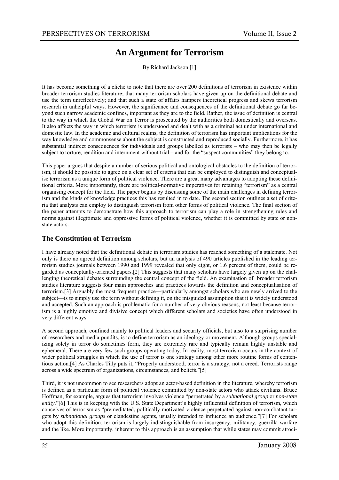# **An Argument for Terrorism**

By Richard Jackson [1]

It has become something of a cliché to note that there are over 200 definitions of terrorism in existence within broader terrorism studies literature; that many terrorism scholars have given up on the definitional debate and use the term unreflectively; and that such a state of affairs hampers theoretical progress and skews terrorism research in unhelpful ways. However, the significance and consequences of the definitional debate go far beyond such narrow academic confines, important as they are to the field. Rather, the issue of definition is central to the way in which the Global War on Terror is prosecuted by the authorities both domestically and overseas. It also affects the way in which terrorism is understood and dealt with as a criminal act under international and domestic law. In the academic and cultural realms, the definition of terrorism has important implications for the way knowledge and commonsense about the subject is constructed and reproduced socially. Furthermore, it has substantial indirect consequences for individuals and groups labelled as terrorists – who may then be legally subject to torture, rendition and internment without trial – and for the "suspect communities" they belong to.

This paper argues that despite a number of serious political and ontological obstacles to the definition of terrorism, it should be possible to agree on a clear set of criteria that can be employed to distinguish and conceptualise terrorism as a unique form of political violence. There are a great many advantages to adopting these definitional criteria. More importantly, there are political-normative imperatives for retaining "terrorism" as a central organising concept for the field. The paper begins by discussing some of the main challenges in defining terrorism and the kinds of knowledge practices this has resulted in to date. The second section outlines a set of criteria that analysts can employ to distinguish terrorism from other forms of political violence. The final section of the paper attempts to demonstrate how this approach to terrorism can play a role in strengthening rules and norms against illegitimate and oppressive forms of political violence, whether it is committed by state or nonstate actors.

#### **The Constitution of Terrorism**

I have already noted that the definitional debate in terrorism studies has reached something of a stalemate. Not only is there no agreed definition among scholars, but an analysis of 490 articles published in the leading terrorism studies journals between 1990 and 1999 revealed that only eight, or 1.6 percent of them, could be regarded as conceptually-oriented papers.[2] This suggests that many scholars have largely given up on the challenging theoretical debates surrounding the central concept of the field. An examination of broader terrorism studies literature suggests four main approaches and practices towards the definition and conceptualisation of terrorism.[3] Arguably the most frequent practice—particularly amongst scholars who are newly arrived to the subject—is to simply use the term without defining it, on the misguided assumption that it is widely understood and accepted. Such an approach is problematic for a number of very obvious reasons, not least because terrorism is a highly emotive and divisive concept which different scholars and societies have often understood in very different ways.

A second approach, confined mainly to political leaders and security officials, but also to a surprising number of researchers and media pundits, is to define terrorism as an ideology or movement. Although groups specializing solely in terror do sometimes form, they are extremely rare and typically remain highly unstable and ephemeral. There are very few such groups operating today. In reality, most terrorism occurs in the context of wider political struggles in which the use of terror is one strategy among other more routine forms of contentious action.[4] As Charles Tilly puts it, "Properly understood, terror is a strategy, not a creed. Terrorists range across a wide spectrum of organizations, circumstances, and beliefs."[5]

Third, it is not uncommon to see researchers adopt an actor-based definition in the literature, whereby terrorism is defined as a particular form of political violence committed by non-state actors who attack civilians. Bruce Hoffman, for example, argues that terrorism involves violence "perpetrated by a *subnational group* or *non-state entity*."[6] This is in keeping with the U.S. State Department's highly influential definition of terrorism, which conceives of terrorism as "premeditated, politically motivated violence perpetuated against non-combatant targets by *subnational groups* or clandestine agents, usually intended to influence an audience."[7] For scholars who adopt this definition, terrorism is largely indistinguishable from insurgency, militancy, guerrilla warfare and the like. More importantly, inherent to this approach is an assumption that while states may commit atroci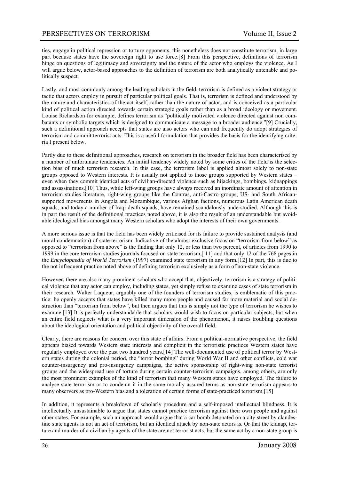ties, engage in political repression or torture opponents, this nonetheless does not constitute terrorism, in large part because states have the sovereign right to use force.[8] From this perspective, definitions of terrorism hinge on questions of legitimacy and sovereignty and the nature of the actor who employs the violence. As I will argue below, actor-based approaches to the definition of terrorism are both analytically untenable and politically suspect.

Lastly, and most commonly among the leading scholars in the field, terrorism is defined as a violent strategy or tactic that actors employ in pursuit of particular political goals. That is, terrorism is defined and understood by the nature and characteristics of the act itself, rather than the nature of actor, and is conceived as a particular kind of political action directed towards certain strategic goals rather than as a broad ideology or movement. Louise Richardson for example, defines terrorism as "politically motivated violence directed against non combatants or symbolic targets which is designed to communicate a message to a broader audience."[9] Crucially, such a definitional approach accepts that states are also actors who can and frequently do adopt strategies of terrorism and commit terrorist acts. This is a useful formulation that provides the basis for the identifying criteria I present below.

Partly due to these definitional approaches, research on terrorism in the broader field has been characterised by a number of unfortunate tendencies. An initial tendency widely noted by some critics of the field is the selection bias of much terrorism research. In this case, the terrorism label is applied almost solely to non-state groups opposed to Western interests. It is usually not applied to those groups supported by Western states – even when they commit identical acts of civilian-directed violence such as hijackings, bombings, kidnappings and assassinations.[10] Thus, while left-wing groups have always received an inordinate amount of attention in terrorism studies literature, right-wing groups like the Contras, anti-Castro groups, US- and South Africansupported movements in Angola and Mozambique, various Afghan factions, numerous Latin American death squads, and today a number of Iraqi death squads, have remained scandalously understudied. Although this is in part the result of the definitional practices noted above, it is also the result of an understandable but avoidable ideological bias amongst many Western scholars who adopt the interests of their own governments.

A more serious issue is that the field has been widely criticised for its failure to provide sustained analysis (and moral condemnation) of state terrorism. Indicative of the almost exclusive focus on "terrorism from below" as opposed to "terrorism from above" is the finding that only 12, or less than two percent, of articles from 1990 to 1999 in the core terrorism studies journals focused on state terrorism,[ 11] and that only 12 of the 768 pages in the *Encyclopaedia of World Terrorism* (1997) examined state terrorism in any form.[12] In part, this is due to the not infrequent practice noted above of defining terrorism exclusively as a form of non-state violence.

However, there are also many prominent scholars who accept that, objectively, terrorism is a strategy of political violence that any actor can employ, including states, yet simply refuse to examine cases of state terrorism in their research. Walter Laqueur, arguably one of the founders of terrorism studies, is emblematic of this practice: he openly accepts that states have killed many more people and caused far more material and social destruction than "terrorism from below", but then argues that this is simply not the type of terrorism he wishes to examine.[13] It is perfectly understandable that scholars would wish to focus on particular subjects, but when an entire field neglects what is a very important dimension of the phenomenon, it raises troubling questions about the ideological orientation and political objectivity of the overall field.

Clearly, there are reasons for concern over this state of affairs. From a political-normative perspective, the field appears biased towards Western state interests and complicit in the terroristic practices Western states have regularly employed over the past two hundred years.[14] The well-documented use of political terror by Western states during the colonial period, the "terror bombing" during World War II and other conflicts, cold war counter-insurgency and pro-insurgency campaigns, the active sponsorship of right-wing non-state terrorist groups and the widespread use of torture during certain counter-terrorism campaigns, among others, are only the most prominent examples of the kind of terrorism that many Western states have employed. The failure to analyse state terrorism or to condemn it in the same morally assured terms as non-state terrorism appears to many observers as pro-Western bias and a toleration of certain forms of state-practiced terrorism.[15]

In addition, it represents a breakdown of scholarly procedure and a self-imposed intellectual blindness. It is intellectually unsustainable to argue that states cannot practice terrorism against their own people and against other states. For example, such an approach would argue that a car bomb detonated on a city street by clandestine state agents is not an act of terrorism, but an identical attack by non-state actors is. Or that the kidnap, torture and murder of a civilian by agents of the state are not terrorist acts, but the same act by a non-state group is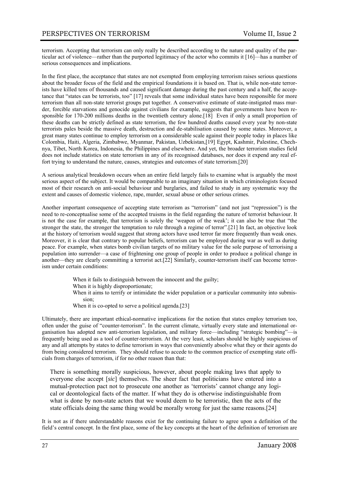terrorism. Accepting that terrorism can only really be described according to the nature and quality of the particular act of violence—rather than the purported legitimacy of the actor who commits it [16]—has a number of serious consequences and implications.

In the first place, the acceptance that states are not exempted from employing terrorism raises serious questions about the broader focus of the field and the empirical foundations it is based on. That is, while non-state terrorists have killed tens of thousands and caused significant damage during the past century and a half, the acceptance that "states can be terrorists, too" [17] reveals that some individual states have been responsible for more terrorism than all non-state terrorist groups put together. A conservative estimate of state-instigated mass murder, forcible starvations and genocide against civilians for example, suggests that governments have been responsible for 170-200 millions deaths in the twentieth century alone.<sup>[18]</sup> Even if only a small proportion of these deaths can be strictly defined as state terrorism, the few hundred deaths caused every year by non-state terrorists pales beside the massive death, destruction and de-stabilisation caused by some states. Moreover, a great many states continue to employ terrorism on a considerable scale against their people today in places like Colombia, Haiti, Algeria, Zimbabwe, Myanmar, Pakistan, Uzbekistan,[19] Egypt, Kashmir, Palestine, Chechnya, Tibet, North Korea, Indonesia, the Philippines and elsewhere. And yet, the broader terrorism studies field does not include statistics on state terrorism in any of its recognised databases, nor does it expend any real effort trying to understand the nature, causes, strategies and outcomes of state terrorism.[20]

A serious analytical breakdown occurs when an entire field largely fails to examine what is arguably the most serious aspect of the subject. It would be comparable to an imaginary situation in which criminologists focused most of their research on anti-social behaviour and burglaries, and failed to study in any systematic way the extent and causes of domestic violence, rape, murder, sexual abuse or other serious crimes.

Another important consequence of accepting state terrorism as "terrorism" (and not just "repression") is the need to re-conceptualise some of the accepted truisms in the field regarding the nature of terrorist behaviour. It is not the case for example, that terrorism is solely the 'weapon of the weak'; it can also be true that "the stronger the state, the stronger the temptation to rule through a regime of terror".[21] In fact, an objective look at the history of terrorism would suggest that strong actors have used terror far more frequently than weak ones. Moreover, it is clear that contrary to popular beliefs, terrorism can be employed during war as well as during peace. For example, when states bomb civilian targets of no military value for the sole purpose of terrorising a population into surrender—a case of frightening one group of people in order to produce a political change in another—they are clearly committing a terrorist act.[22] Similarly, counter-terrorism itself can become terrorism under certain conditions:

> When it fails to distinguish between the innocent and the guilty; When it is highly disproportionate; When it aims to terrify or intimidate the wider population or a particular community into submission;

When it is co-opted to serve a political agenda.[23]

Ultimately, there are important ethical-normative implications for the notion that states employ terrorism too, often under the guise of "counter-terrorism". In the current climate, virtually every state and international organisation has adopted new anti-terrorism legislation, and military force—including "strategic bombing"—is frequently being used as a tool of counter-terrorism. At the very least, scholars should be highly suspicious of any and all attempts by states to define terrorism in ways that conveniently absolve what they or their agents do from being considered terrorism. They should refuse to accede to the common practice of exempting state officials from charges of terrorism, if for no other reason than that:

There is something morally suspicious, however, about people making laws that apply to everyone else accept [*sic*] themselves. The sheer fact that politicians have entered into a mutual-protection pact not to prosecute one another as 'terrorists' cannot change any logical or deontological facts of the matter. If what they do is otherwise indistinguishable from what is done by non-state actors that we would deem to be terroristic, then the acts of the state officials doing the same thing would be morally wrong for just the same reasons.[24]

It is not as if there understandable reasons exist for the continuing failure to agree upon a definition of the field's central concept. In the first place, some of the key concepts at the heart of the definition of terrorism are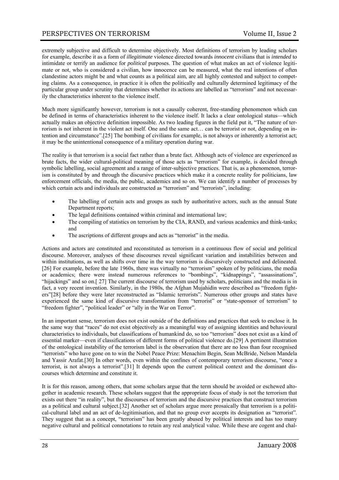extremely subjective and difficult to determine objectively. Most definitions of terrorism by leading scholars for example, describe it as a form of *illegitimate* violence directed towards *innocent* civilians that is *intended* to intimidate or terrify an audience for *political* purposes. The question of what makes an act of violence legitimate or not, who is considered a civilian, how innocence can be measured, what the real intentions of often clandestine actors might be and what counts as a political aim, are all highly contested and subject to competing claims. As a consequence, in practice it is often the politically and culturally determined legitimacy of the particular group under scrutiny that determines whether its actions are labelled as "terrorism" and not necessarily the characteristics inherent to the violence itself.

Much more significantly however, terrorism is not a causally coherent, free-standing phenomenon which can be defined in terms of characteristics inherent to the violence itself. It lacks a clear ontological status—which actually makes an objective definition impossible. As two leading figures in the field put it, "The nature of terrorism is not inherent in the violent act itself. One and the same act… can be terrorist or not, depending on intention and circumstance".[25] The bombing of civilians for example, is not always or inherently a terrorist act; it may be the unintentional consequence of a military operation during war.

The reality is that terrorism is a social fact rather than a brute fact. Although acts of violence are experienced as brute facts, the wider cultural-political meaning of those acts as "terrorism" for example, is decided through symbolic labelling, social agreement and a range of inter-subjective practices. That is, as a phenomenon, terrorism is constituted by and through the discursive practices which make it a concrete reality for politicians, law enforcement officials, the media, the public, academics and so on. We can identify a number of processes by which certain acts and individuals are constructed as "terrorism" and "terrorists", including:

- The labelling of certain acts and groups as such by authoritative actors, such as the annual State Department reports;
- The legal definitions contained within criminal and international law;
- The compiling of statistics on terrorism by the CIA, RAND, and various academics and think-tanks; and
- The ascriptions of different groups and acts as "terrorist" in the media.

Actions and actors are constituted and reconstituted as terrorism in a continuous flow of social and political discourse. Moreover, analyses of these discourses reveal significant variation and instabilities between and within institutions, as well as shifts over time in the way terrorism is discursively constructed and delineated. [26] For example, before the late 1960s, there was virtually no "terrorism" spoken of by politicians, the media or academics; there were instead numerous references to "bombings", "kidnappings", "assassinations", "hijackings" and so on.[ 27] The current discourse of terrorism used by scholars, politicians and the media is in fact, a very recent invention. Similarly, in the 1980s, the Afghan Mujahidin were described as "freedom fighters"[28] before they were later reconstructed as "Islamic terrorists". Numerous other groups and states have experienced the same kind of discursive transformation from "terrorist" or "state-sponsor of terrorism" to "freedom fighter", "political leader" or "ally in the War on Terror".

In an important sense, terrorism does not exist outside of the definitions and practices that seek to enclose it. In the same way that "races" do not exist objectively as a meaningful way of assigning identities and behavioural characteristics to individuals, but classifications of humankind do, so too "terrorism" does not exist as a kind of essential marker—even if classifications of different forms of political violence do.[29] A pertinent illustration of the ontological instability of the terrorism label is the observation that there are no less than four recognised "terrorists" who have gone on to win the Nobel Peace Prize: Menachim Begin, Sean McBride, Nelson Mandela and Yassir Arafat.[30] In other words, even within the confines of contemporary terrorism discourse, "once a terrorist, is not always a terrorist".[31] It depends upon the current political context and the dominant discourses which determine and constitute it.

It is for this reason, among others, that some scholars argue that the term should be avoided or eschewed altogether in academic research. These scholars suggest that the appropriate focus of study is not the terrorism that exists out there "in reality", but the discourses of terrorism and the discursive practices that construct terrorism as a political and cultural subject.[32] Another set of scholars argue more prosaically that terrorism is a political-cultural label and an act of de-legitimisation, and that no group ever accepts its designation as "terrorist". They suggest that as a concept, "terrorism" has been greatly abused by political interests and has too many negative cultural and political connotations to retain any real analytical value. While these are cogent and chal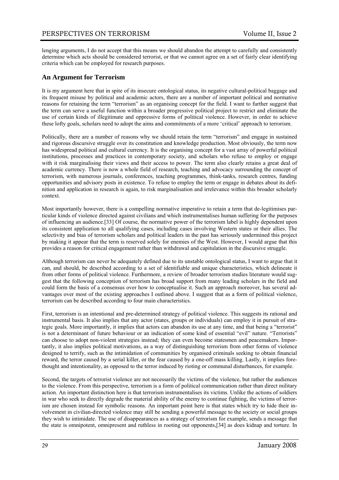lenging arguments, I do not accept that this means we should abandon the attempt to carefully and consistently determine which acts should be considered terrorist, or that we cannot agree on a set of fairly clear identifying criteria which can be employed for research purposes.

#### **An Argument for Terrorism**

It is my argument here that in spite of its insecure ontological status, its negative cultural-political baggage and its frequent misuse by political and academic actors, there are a number of important political and normative reasons for retaining the term "terrorism" as an organising concept for the field. I want to further suggest that the term can serve a useful function within a broader progressive political project to restrict and eliminate the use of certain kinds of illegitimate and oppressive forms of political violence. However, in order to achieve these lofty goals, scholars need to adopt the aims and commitments of a more 'critical' approach to terrorism.

Politically, there are a number of reasons why we should retain the term "terrorism" and engage in sustained and rigorous discursive struggle over its constitution and knowledge production. Most obviously, the term now has widespread political and cultural currency. It is the organising concept for a vast array of powerful political institutions, processes and practices in contemporary society, and scholars who refuse to employ or engage with it risk marginalising their views and their access to power. The term also clearly retains a great deal of academic currency. There is now a whole field of research, teaching and advocacy surrounding the concept of terrorism, with numerous journals, conferences, teaching programmes, think-tanks, research centres, funding opportunities and advisory posts in existence. To refuse to employ the term or engage in debates about its definition and application in research is again, to risk marginalisation and irrelevance within this broader scholarly context.

Most importantly however, there is a compelling normative imperative to retain a term that de-legitimises particular kinds of violence directed against civilians and which instrumentalises human suffering for the purposes of influencing an audience.[33] Of course, the normative power of the terrorism label is highly dependent upon its consistent application to all qualifying cases, including cases involving Western states or their allies. The selectivity and bias of terrorism scholars and political leaders in the past has seriously undermined this project by making it appear that the term is reserved solely for enemies of the West. However, I would argue that this provides a reason for critical engagement rather than withdrawal and capitulation in the discursive struggle.

Although terrorism can never be adequately defined due to its unstable ontological status, I want to argue that it can, and should, be described according to a set of identifiable and unique characteristics, which delineate it from other forms of political violence. Furthermore, a review of broader terrorism studies literature would suggest that the following conception of terrorism has broad support from many leading scholars in the field and could form the basis of a consensus over how to conceptualise it. Such an approach moreover, has several advantages over most of the existing approaches I outlined above. I suggest that as a form of political violence, terrorism can be described according to four main characteristics.

First, terrorism is an intentional and pre-determined strategy of political violence. This suggests its rational and instrumental basis. It also implies that any actor (states, groups or individuals) can employ it in pursuit of strategic goals. More importantly, it implies that actors can abandon its use at any time, and that being a "terrorist" is not a determinant of future behaviour or an indication of some kind of essential "evil" nature. "Terrorists" can choose to adopt non-violent strategies instead; they can even become statesmen and peacemakers. Importantly, it also implies political motivations, as a way of distinguishing terrorism from other forms of violence designed to terrify, such as the intimidation of communities by organised criminals seeking to obtain financial reward, the terror caused by a serial killer, or the fear caused by a one-off mass killing. Lastly, it implies forethought and intentionality, as opposed to the terror induced by rioting or communal disturbances, for example.

Second, the targets of terrorist violence are not necessarily the victims of the violence, but rather the audiences to the violence. From this perspective, terrorism is a form of political communication rather than direct military action. An important distinction here is that terrorism instrumentalises its victims. Unlike the actions of soldiers in war who seek to directly degrade the material ability of the enemy to continue fighting, the victims of terrorism are chosen instead for symbolic reasons. An important point here is that states which try to hide their involvement in civilian-directed violence may still be sending a powerful message to the society or social groups they wish to intimidate. The use of disappearances as a strategy of terrorism for example, sends a message that the state is omnipotent, omnipresent and ruthless in rooting out opponents,[34] as does kidnap and torture. In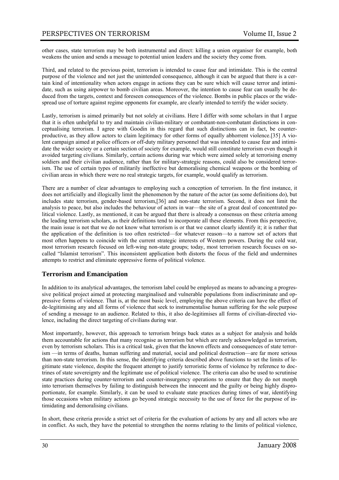other cases, state terrorism may be both instrumental and direct: killing a union organiser for example, both weakens the union and sends a message to potential union leaders and the society they come from.

Third, and related to the previous point, terrorism is intended to cause fear and intimidate. This is the central purpose of the violence and not just the unintended consequence, although it can be argued that there is a certain kind of intentionality when actors engage in actions they can be sure which will cause terror and intimidate, such as using airpower to bomb civilian areas. Moreover, the intention to cause fear can usually be deduced from the targets, context and foreseen consequences of the violence. Bombs in public places or the widespread use of torture against regime opponents for example, are clearly intended to terrify the wider society.

Lastly, terrorism is aimed primarily but not solely at civilians. Here I differ with some scholars in that I argue that it is often unhelpful to try and maintain civilian-military or combatant-non-combatant distinctions in conceptualising terrorism. I agree with Goodin in this regard that such distinctions can in fact, be counterproductive, as they allow actors to claim legitimacy for other forms of equally abhorrent violence.[35] A violent campaign aimed at police officers or off-duty military personnel that was intended to cause fear and intimidate the wider society or a certain section of society for example, would still constitute terrorism even though it avoided targeting civilians. Similarly, certain actions during war which were aimed solely at terrorising enemy soldiers and their civilian audience, rather than for military-strategic reasons, could also be considered terrorism. The use of certain types of militarily ineffective but demoralising chemical weapons or the bombing of civilian areas in which there were no real strategic targets, for example, would qualify as terrorism.

There are a number of clear advantages to employing such a conception of terrorism. In the first instance, it does not artificially and illogically limit the phenomenon by the nature of the actor (as some definitions do), but includes state terrorism, gender-based terrorism,[36] and non-state terrorism. Second, it does not limit the analysis to peace, but also includes the behaviour of actors in war—the site of a great deal of concentrated political violence. Lastly, as mentioned, it can be argued that there is already a consensus on these criteria among the leading terrorism scholars, as their definitions tend to incorporate all these elements. From this perspective, the main issue is not that we do not know what terrorism is or that we cannot clearly identify it; it is rather that the application of the definition is too often restricted—for whatever reason—to a narrow set of actors that most often happens to coincide with the current strategic interests of Western powers. During the cold war, most terrorism research focused on left-wing non-state groups; today, most terrorism research focuses on socalled "Islamist terrorism". This inconsistent application both distorts the focus of the field and undermines attempts to restrict and eliminate oppressive forms of political violence.

#### **Terrorism and Emancipation**

In addition to its analytical advantages, the terrorism label could be employed as means to advancing a progressive political project aimed at protecting marginalised and vulnerable populations from indiscriminate and oppressive forms of violence. That is, at the most basic level, employing the above criteria can have the effect of de-legitimising any and all forms of violence that seek to instrumentalise human suffering for the sole purpose of sending a message to an audience. Related to this, it also de-legitimises all forms of civilian-directed violence, including the direct targeting of civilians during war.

Most importantly, however, this approach to terrorism brings back states as a subject for analysis and holds them accountable for actions that many recognise as terrorism but which are rarely acknowledged as terrorism, even by terrorism scholars. This is a critical task, given that the known effects and consequences of state terrorism —in terms of deaths, human suffering and material, social and political destruction—are far more serious than non-state terrorism. In this sense, the identifying criteria described above functions to set the limits of legitimate state violence, despite the frequent attempt to justify terroristic forms of violence by reference to doctrines of state sovereignty and the legitimate use of political violence. The criteria can also be used to scrutinise state practices during counter-terrorism and counter-insurgency operations to ensure that they do not morph into terrorism themselves by failing to distinguish between the innocent and the guilty or being highly disproportionate, for example. Similarly, it can be used to evaluate state practices during times of war, identifying those occasions when military actions go beyond strategic necessity to the use of force for the purpose of intimidating and demoralising civilians.

In short, these criteria provide a strict set of criteria for the evaluation of actions by any and all actors who are in conflict. As such, they have the potential to strengthen the norms relating to the limits of political violence,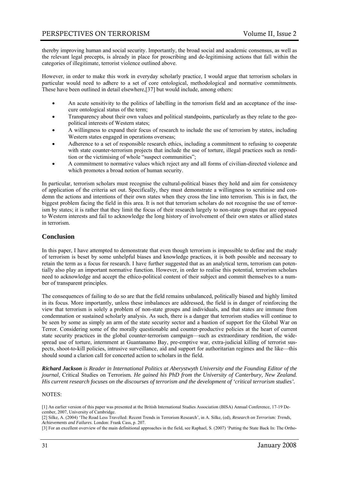thereby improving human and social security. Importantly, the broad social and academic consensus, as well as the relevant legal precepts, is already in place for proscribing and de-legitimising actions that fall within the categories of illegitimate, terrorist violence outlined above.

However, in order to make this work in everyday scholarly practice, I would argue that terrorism scholars in particular would need to adhere to a set of core ontological, methodological and normative commitments. These have been outlined in detail elsewhere,[37] but would include, among others:

- An acute sensitivity to the politics of labelling in the terrorism field and an acceptance of the insecure ontological status of the term;
- Transparency about their own values and political standpoints, particularly as they relate to the geopolitical interests of Western states;
- A willingness to expand their focus of research to include the use of terrorism by states, including Western states engaged in operations overseas;
- Adherence to a set of responsible research ethics, including a commitment to refusing to cooperate with state counter-terrorism projects that include the use of torture, illegal practices such as rendition or the victimising of whole "suspect communities";
- A commitment to normative values which reject any and all forms of civilian-directed violence and which promotes a broad notion of human security.

In particular, terrorism scholars must recognise the cultural-political biases they hold and aim for consistency of application of the criteria set out. Specifically, they must demonstrate a willingness to scrutinise and condemn the actions and intentions of their own states when they cross the line into terrorism. This is in fact, the biggest problem facing the field in this area. It is not that terrorism scholars do not recognise the use of terrorism by states; it is rather that they limit the focus of their research largely to non-state groups that are opposed to Western interests and fail to acknowledge the long history of involvement of their own states or allied states in terrorism.

#### **Conclusion**

In this paper, I have attempted to demonstrate that even though terrorism is impossible to define and the study of terrorism is beset by some unhelpful biases and knowledge practices, it is both possible and necessary to retain the term as a focus for research. I have further suggested that as an analytical term, terrorism can potentially also play an important normative function. However, in order to realise this potential, terrorism scholars need to acknowledge and accept the ethico-political content of their subject and commit themselves to a number of transparent principles.

The consequences of failing to do so are that the field remains unbalanced, politically biased and highly limited in its focus. More importantly, unless these imbalances are addressed, the field is in danger of reinforcing the view that terrorism is solely a problem of non-state groups and individuals, and that states are immune from condemnation or sustained scholarly analysis. As such, there is a danger that terrorism studies will continue to be seen by some as simply an arm of the state security sector and a bastion of support for the Global War on Terror. Considering some of the morally questionable and counter-productive policies at the heart of current state security practices in the global counter-terrorism campaign—such as extraordinary rendition, the widespread use of torture, internment at Guantanamo Bay, pre-emptive war, extra-judicial killing of terrorist suspects, shoot-to-kill policies, intrusive surveillance, aid and support for authoritarian regimes and the like—this should sound a clarion call for concerted action to scholars in the field.

*Richard Jackson is Reader in International Politics at Aberystwyth University and the Founding Editor of the journal,* Critical Studies on Terrorism*. He gained his PhD from the University of Canterbury, New Zealand. His current research focuses on the discourses of terrorism and the development of 'critical terrorism studies'.* 

#### NOTES:

[1] An earlier version of this paper was presented at the British International Studies Association (BISA) Annual Conference, 17-19 December, 2007, University of Cambridge.

[2] Silke, A. (2004) 'The Road Less Travelled: Recent Trends in Terrorism Research', in A. Silke, (ed), *Research on Terrorism: Trends, Achievements and Failures*. London: Frank Cass, p. 207.

[3] For an excellent overview of the main definitional approaches in the field, see Raphael, S. (2007) 'Putting the State Back In: The Ortho-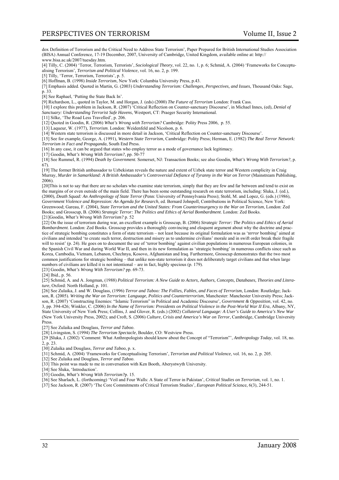dox Definition of Terrorism and the Critical Need to Address State Terrorism', Paper Prepared for British International Studies Association (BISA) Annual Conference, 17-19 December, 2007, University of Cambridge, United Kingdom, available online at: http:// www.bisa.ac.uk/2007/tuesday.htm.

[4] Tilly, C. (2004) 'Terror, Terrorism, Terrorists', *Sociological Theory*, vol. 22, no. 1, p. 6; Schmid, A. (2004) 'Frameworks for Conceptualising Terrorism', *Terrorism and Political Violence*, vol. 16, no. 2, p. 199.

[5] Tilly, 'Terror, Terrorism, Terrorists', p. 5.

[6] Hoffman, B. (1998) *Inside Terrorism*, New York: Columbia University Press, p.43.

[7] Emphasis added. Quoted in Martin, G. (2003) *Understanding Terrorism: Challenges, Perspectives, and Issues*, Thousand Oaks: Sage, p. 33.

[8] See Raphael, 'Putting the State Back In'.

[9] Richardson, L., quoted in Taylor, M. and Horgan, J. (eds) (2000) *The Future of Terrorism* London: Frank Cass.

[10] I explore this problem in Jackson, R. (2007) 'Critical Reflection on Counter-sanctuary Discourse', in Michael Innes, (ed), *Denial of Sanctuary: Understanding Terrorist Safe Havens*, Westport, CT: Praeger Security International.

[11] Silke, 'The Road Less Travelled', p. 206.

[12] Quoted in Goodin, R. (2006) *What's Wrong with Terrorism?* Cambridge: Polity Press 2006, p. 55. [13] Laqueur, W. (1977), *Terrorism*. London: Weidenfeld and Nicolson, p. 6.

[14] Western state terrorism is discussed in more detail in Jackson, 'Critical Reflection on Counter-sanctuary Discourse'.

[15] See for example, George, A. (1991), *Western State Terrorism*, Cambridge: Polity Press; Herman, E. (1982) *The Real Terror Network: Terrorism in Fact and Propaganda*, South End Press.

[16] In any case, it can be argued that states who employ terror as a mode of governance lack legitimacy.

[17] Goodin, *What's Wrong With Terrorism?*, pp. 50-77

[18] See Rummel, R. (1994) *Death by Government*. Somerset, NJ: Transaction Books; see also Goodin, *What's Wrong With Terrorism?*, p.  $67)$ <sup> $-$ </sup>

[19] The former British ambassador to Uzbekistan reveals the nature and extent of Uzbek state terror and Western complicity in Craig Murray, *Murder in Samarkland: A British Ambassador's Controversial Defiance of Tyranny in the War on Terror* (Mainstream Publishing, 2006).

[20]This is not to say that there are no scholars who examine state terrorism, simply that they are few and far between and tend to exist on the margins of or even outside of the main field. There has been some outstanding research on state terrorism, including: Sluka, J. (ed.), (2000), *Death Squad: An Anthropology of State Terror* (Penn: University of Pennsylvania Press); Stohl, M. and Lopez, G. (eds.) (1986), *Government Violence and Repression: An Agenda for Research*, ed. Bernard Johnpoll, Contributions in Political Science, New York: Greenwood; Gareau, F. (2004), *State Terrorism and the United States: From Counterinsurgency to the War on Terrorism*, London: Zed Books; and Grosscup, B. (2006) *Strategic Terror: The Politics and Ethics of Aerial Bombardment*. London: Zed Books. [21]Goodin, *What's Wrong With Terrorism?* p. 52

[22] On the issue of terrorism during war, an excellent example is Grosscup, B. (2006) *Strategic Terror: The Politics and Ethics of Aerial Bombardment*. London: Zed Books. Grosscup provides a thoroughly convincing and eloquent argument about why the doctrine and practice of strategic bombing constitutes a form of state terrorism – not least because its original formulation was as '*terror* bombing' aimed at civilians and intended 'to create such terror, destruction and misery as to undermine civilians' morale and in swift order break their fragile will to resist' (p. 24). He goes on to document the use of 'terror bombing' against civilian populations in numerous European colonies, in the Spanish Civil War and during World War II, and then in its new formulation as 'strategic bombing' in numerous conflicts since such as Korea, Cambodia, Vietnam, Lebanon, Chechnya, Kosovo, Afghanistan and Iraq. Furthermore, Grosscup demonstrates that the two most common justifications for strategic bombing – that unlike non-state terrorism it does not deliberately target civilians and that when large numbers of civilians are killed it is not intentional – are in fact, highly specious (p. 179).

[23] Goodin, *What's Wrong With Terrorism?* pp. 69-73.

[24] Ibid., p. 56.

[25] Schmid, A. and A. Jongman, (1988) *Political Terrorism: A New Guide to Actors, Authors, Concepts, Databases, Theories and Literature*, Oxford: North Holland, p. 101.

[26] See Zulaika, J. and W. Douglass, (1996) *Terror and Taboo: The Follies, Fables, and Faces of Terrorism*, London: Routledge; Jackson, R. (2005). *Writing the War on Terrorism: Language, Politics and Counterterrorism*, Manchester: Manchester University Press; Jackson, R. (2007) 'Constructing Enemies: "Islamic Terrorism" in Political and Academic Discourse', *Government & Opposition*, vol. 42, no. 3, pp. 394-426; Winkler, C. (2006) *In the Name of Terrorism: Presidents on Political Violence in the Post-World War II Era*, Albany, NY, State University of New York Press; Collins, J. and Glover, R. (eds.) (2002) *Collateral Language: A User's Guide to America's New War* (New York University Press, 2002); and Croft, S. (2006) *Culture, Crisis and America's War on Terror*, Cambridge, Cambridge University Press.

[27] See Zulaika and Douglass, *Terror and Taboo*.

[28] Livingston, S. (1994) *The Terrorism Spectacle*, Boulder, CO: Westview Press.

[29 ]Sluka, J. (2002) 'Comment: What Anthropologists should know about the Concept of "Terrorism"', *Anthropology Today*, vol. 18, no. 2, p. 23.

[30] Zulaika and Douglass, *Terror and Taboo*, p. x.

[31] Schmid, A. (2004) 'Frameworks for Conceptualising Terrorism', *Terrorism and Political Violence*, vol. 16, no. 2, p. 205.

[32] See Zulaika and Douglass, *Terror and Taboo*.

[33] This point was made to me in conversation with Ken Booth, Aberystwyth University.

[34] See Sluka, 'Introduction'.

[35] Goodin, *What's Wrong With Terrorism?*p. 15.

[36] See Sharlach, L. (forthcoming) 'Veil and Four Walls: A State of Terror in Pakistan', *Critical Studies on Terrorism*, vol. 1, no. 1.

[37] See Jackson, R. (2007) 'The Core Commitments of Critical Terrorism Studies', *European Political Sci*ence, 6(3), 244-51.